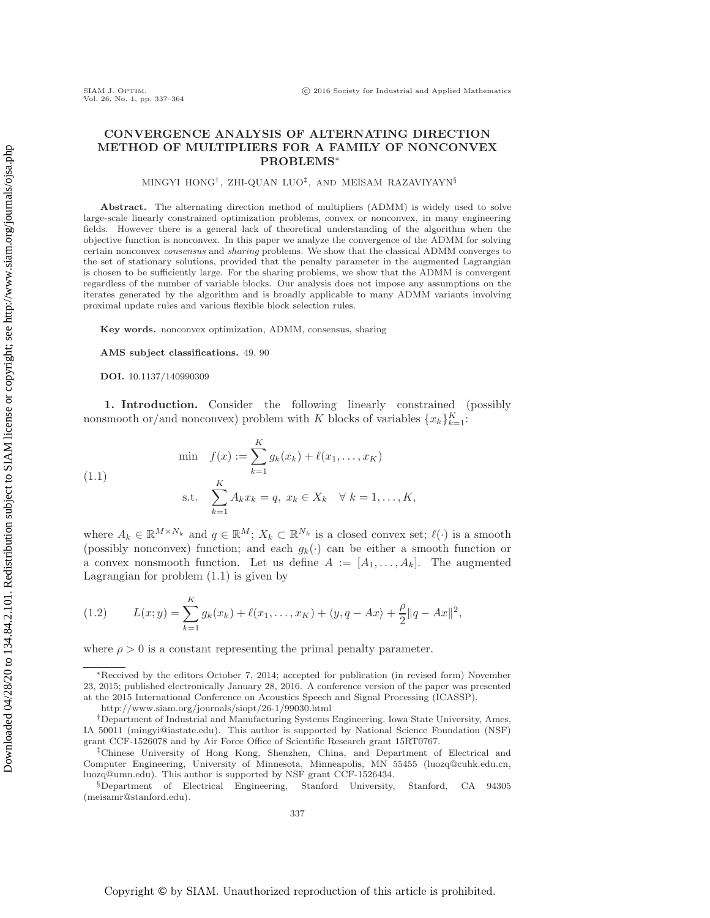# **CONVERGENCE ANALYSIS OF ALTERNATING DIRECTION**

## **METHOD OF MULTIPLIERS FOR A FAMILY OF NONCONVEX PROBLEMS**<sup>∗</sup>

#### MINGYI HONG<sup>†</sup>, ZHI-QUAN LUO<sup>‡</sup>, AND MEISAM RAZAVIYAYN<sup>§</sup>

**Abstract.** The alternating direction method of multipliers (ADMM) is widely used to solve large-scale linearly constrained optimization problems, convex or nonconvex, in many engineering fields. However there is a general lack of theoretical understanding of the algorithm when the objective function is nonconvex. In this paper we analyze the convergence of the ADMM for solving certain nonconvex consensus and sharing problems. We show that the classical ADMM converges to the set of stationary solutions, provided that the penalty parameter in the augmented Lagrangian is chosen to be sufficiently large. For the sharing problems, we show that the ADMM is convergent regardless of the number of variable blocks. Our analysis does not impose any assumptions on the iterates generated by the algorithm and is broadly applicable to many ADMM variants involving proximal update rules and various flexible block selection rules.

**Key words.** nonconvex optimization, ADMM, consensus, sharing

**AMS subject classifications.** 49, 90

**DOI.** 10.1137/140990309

**1. Introduction.** Consider the following linearly constrained (possibly nonsmooth or/and nonconvex) problem with K blocks of variables  $\{x_k\}_{k=1}^K$ :

<span id="page-0-0"></span>(1.1) 
$$
\min \quad f(x) := \sum_{k=1}^{K} g_k(x_k) + \ell(x_1, ..., x_K)
$$

$$
\text{s.t.} \quad \sum_{k=1}^{K} A_k x_k = q, \ x_k \in X_k \quad \forall \ k = 1, ..., K,
$$

where  $A_k \in \mathbb{R}^{M \times N_k}$  and  $q \in \mathbb{R}^M$ ;  $X_k \subset \mathbb{R}^{N_k}$  is a closed convex set;  $\ell(\cdot)$  is a smooth  $\ell$  consibly nonconvex) function; and each  $q_k(\cdot)$  can be either a smooth function or (possibly nonconvex) function; and each  $g_k(\cdot)$  can be either a smooth function or a convex nonsmooth function. Let us define  $A := [A_1, \ldots, A_k]$ . The augmented Lagrangian for problem [\(1.1\)](#page-0-0) is given by

<span id="page-0-1"></span>(1.2) 
$$
L(x; y) = \sum_{k=1}^{K} g_k(x_k) + \ell(x_1, ..., x_K) + \langle y, q - Ax \rangle + \frac{\rho}{2} ||q - Ax||^2,
$$

where  $\rho > 0$  is a constant representing the primal penalty parameter.

<sup>∗</sup>Received by the editors October 7, 2014; accepted for publication (in revised form) November 23, 2015; published electronically January 28, 2016. A conference version of the paper was presented at the 2015 International Conference on Acoustics Speech and Signal Processing (ICASSP).

<http://www.siam.org/journals/siopt/26-1/99030.html>

<sup>†</sup>Department of Industrial and Manufacturing Systems Engineering, Iowa State University, Ames, IA 50011 [\(mingyi@iastate.edu\)](mailto:mingyi@iastate.edu). This author is supported by National Science Foundation (NSF) grant CCF-1526078 and by Air Force Office of Scientific Research grant 15RT0767.

<sup>‡</sup>Chinese University of Hong Kong, Shenzhen, China, and Department of Electrical and Computer Engineering, University of Minnesota, Minneapolis, MN 55455 [\(luozq@cuhk.edu.cn,](mailto:luozq@cuhk.edu.cn) [luozq@umn.edu\)](mailto:luozq@umn.edu). This author is supported by NSF grant CCF-1526434.

<sup>§</sup>Department of Electrical Engineering, Stanford University, Stanford, CA 94305 [\(meisamr@stanford.edu\)](mailto:meisamr@stanford.edu).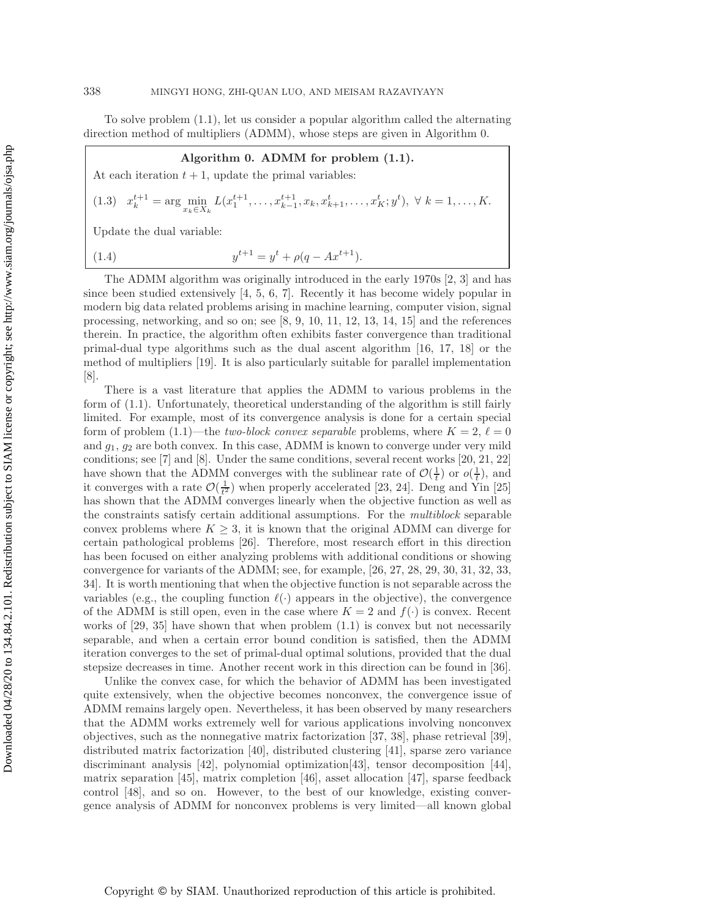To solve problem [\(1.1\)](#page-0-0), let us consider a popular algorithm called the alternating direction method of multipliers (ADMM), whose steps are given in Algorithm 0.

## **Algorithm 0. ADMM for problem [\(1.1\)](#page-0-0).**

At each iteration  $t + 1$ , update the primal variables:

<span id="page-1-0"></span>
$$
(1.3) \t x_k^{t+1} = \arg \min_{x_k \in X_k} L(x_1^{t+1}, \dots, x_{k-1}^{t+1}, x_k, x_{k+1}^t, \dots, x_K^t; y^t), \ \forall \ k = 1, \dots, K.
$$

Update the dual variable:

<span id="page-1-1"></span>(1.4) 
$$
y^{t+1} = y^t + \rho(q - Ax^{t+1}).
$$

The ADMM algorithm was originally introduced in the early 1970s [\[2,](#page-25-0) [3\]](#page-25-1) and has since been studied extensively  $[4, 5, 6, 7]$  $[4, 5, 6, 7]$  $[4, 5, 6, 7]$  $[4, 5, 6, 7]$ . Recently it has become widely popular in modern big data related problems arising in machine learning, computer vision, signal processing, networking, and so on; see [\[8,](#page-25-6) [9,](#page-25-7) [10,](#page-25-8) [11,](#page-25-9) [12,](#page-25-10) [13,](#page-25-11) [14,](#page-26-0) [15\]](#page-26-1) and the references therein. In practice, the algorithm often exhibits faster convergence than traditional primal-dual type algorithms such as the dual ascent algorithm [\[16,](#page-26-2) [17,](#page-26-3) [18\]](#page-26-4) or the method of multipliers [\[19\]](#page-26-5). It is also particularly suitable for parallel implementation [\[8\]](#page-25-6).

There is a vast literature that applies the ADMM to various problems in the form of [\(1.1\)](#page-0-0). Unfortunately, theoretical understanding of the algorithm is still fairly limited. For example, most of its convergence analysis is done for a certain special form of problem  $(1.1)$ —the *two-block convex separable* problems, where  $K = 2$ ,  $\ell = 0$ <br>and  $\alpha$ ,  $\alpha$  are both convex. In this case, ADMM is known to converge under very mild and  $g_1, g_2$  are both convex. In this case, ADMM is known to converge under very mild conditions; see [\[7\]](#page-25-5) and [\[8\]](#page-25-6). Under the same conditions, several recent works [\[20,](#page-26-6) [21,](#page-26-7) [22\]](#page-26-8) have shown that the ADMM converges with the sublinear rate of  $\mathcal{O}(\frac{1}{t})$  or  $o(\frac{1}{t})$ , and<br>it converges with a rate  $\mathcal{O}(\frac{1}{t})$  when properly accelerated [23–24]. Deng and Yin [25] it converges with a rate  $\mathcal{O}(\frac{1}{t^2})$  when properly accelerated [\[23,](#page-26-9) [24\]](#page-26-10). Deng and  $\check{Y}$ in [\[25\]](#page-26-11) has shown that the ADMM converges linearly when the objective function as well as the constraints satisfy certain additional assumptions. For the *multiblock* separable convex problems where  $K \geq 3$ , it is known that the original ADMM can diverge for certain pathological problems [\[26\]](#page-26-12). Therefore, most research effort in this direction has been focused on either analyzing problems with additional conditions or showing convergence for variants of the ADMM; see, for example, [\[26,](#page-26-12) [27,](#page-26-13) [28,](#page-26-14) [29,](#page-26-15) [30,](#page-26-16) [31,](#page-26-17) [32,](#page-26-18) [33,](#page-26-19) [34\]](#page-26-20). It is worth mentioning that when the objective function is not separable across the variables (e.g., the coupling function  $\ell(\cdot)$  appears in the objective), the convergence<br>of the ADMM is still open, even in the case where  $K = 2$  and  $f(\cdot)$  is convex. Becont of the ADMM is still open, even in the case where  $K = 2$  and  $f(\cdot)$  is convex. Recent works of  $[29, 35]$  $[29, 35]$  have shown that when problem  $(1.1)$  is convex but not necessarily separable, and when a certain error bound condition is satisfied, then the ADMM iteration converges to the set of primal-dual optimal solutions, provided that the dual stepsize decreases in time. Another recent work in this direction can be found in [\[36\]](#page-26-22).

Unlike the convex case, for which the behavior of ADMM has been investigated quite extensively, when the objective becomes nonconvex, the convergence issue of ADMM remains largely open. Nevertheless, it has been observed by many researchers that the ADMM works extremely well for various applications involving nonconvex objectives, such as the nonnegative matrix factorization [\[37,](#page-26-23) [38\]](#page-26-24), phase retrieval [\[39\]](#page-26-25), distributed matrix factorization [\[40\]](#page-26-26), distributed clustering [\[41\]](#page-27-0), sparse zero variance discriminant analysis [\[42\]](#page-27-1), polynomial optimization[\[43\]](#page-27-2), tensor decomposition [\[44\]](#page-27-3), matrix separation [\[45\]](#page-27-4), matrix completion [\[46\]](#page-27-5), asset allocation [\[47\]](#page-27-6), sparse feedback control [\[48\]](#page-27-7), and so on. However, to the best of our knowledge, existing convergence analysis of ADMM for nonconvex problems is very limited—all known global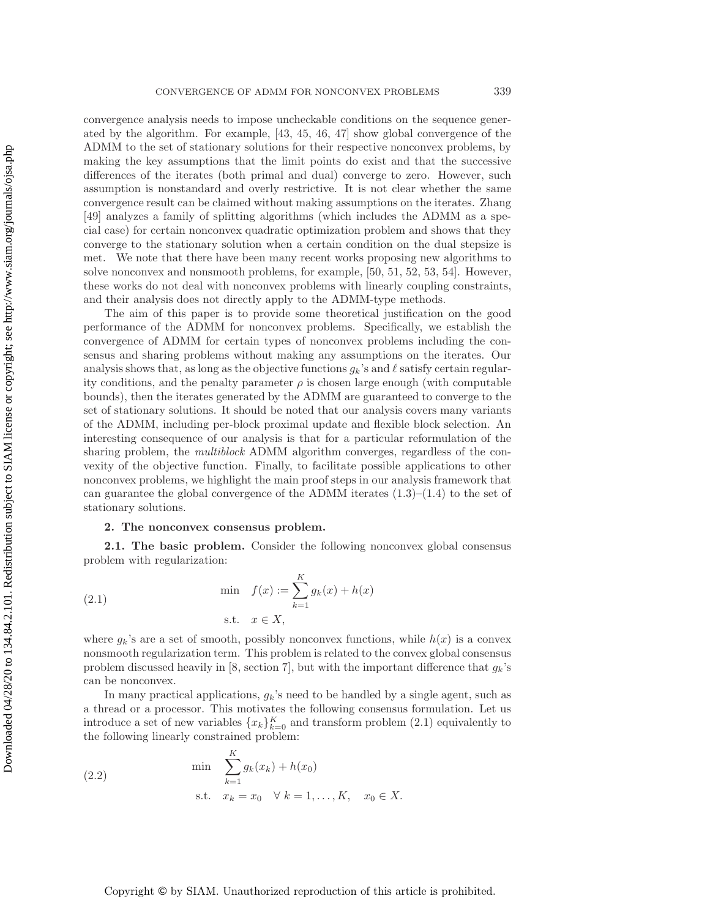convergence analysis needs to impose uncheckable conditions on the sequence generated by the algorithm. For example, [\[43,](#page-27-2) [45,](#page-27-4) [46,](#page-27-5) [47\]](#page-27-6) show global convergence of the ADMM to the set of stationary solutions for their respective nonconvex problems, by making the key assumptions that the limit points do exist and that the successive differences of the iterates (both primal and dual) converge to zero. However, such assumption is nonstandard and overly restrictive. It is not clear whether the same convergence result can be claimed without making assumptions on the iterates. Zhang [\[49\]](#page-27-8) analyzes a family of splitting algorithms (which includes the ADMM as a special case) for certain nonconvex quadratic optimization problem and shows that they converge to the stationary solution when a certain condition on the dual stepsize is met. We note that there have been many recent works proposing new algorithms to solve nonconvex and nonsmooth problems, for example, [\[50,](#page-27-9) [51,](#page-27-10) [52,](#page-27-11) [53,](#page-27-12) [54\]](#page-27-13). However, these works do not deal with nonconvex problems with linearly coupling constraints, and their analysis does not directly apply to the ADMM-type methods.

The aim of this paper is to provide some theoretical justification on the good performance of the ADMM for nonconvex problems. Specifically, we establish the convergence of ADMM for certain types of nonconvex problems including the consensus and sharing problems without making any assumptions on the iterates. Our analysis shows that, as long as the objective functions  $g_k$ 's and  $\ell$  satisfy certain regular-<br>ity conditions, and the penalty parameter e is chosen large enough (with computable ity conditions, and the penalty parameter  $\rho$  is chosen large enough (with computable bounds), then the iterates generated by the ADMM are guaranteed to converge to the set of stationary solutions. It should be noted that our analysis covers many variants of the ADMM, including per-block proximal update and flexible block selection. An interesting consequence of our analysis is that for a particular reformulation of the sharing problem, the *multiblock* ADMM algorithm converges, regardless of the convexity of the objective function. Finally, to facilitate possible applications to other nonconvex problems, we highlight the main proof steps in our analysis framework that can guarantee the global convergence of the ADMM iterates  $(1.3)$ – $(1.4)$  to the set of stationary solutions.

#### **2. The nonconvex consensus problem.**

**2.1. The basic problem.** Consider the following nonconvex global consensus problem with regularization:

<span id="page-2-0"></span>(2.1) 
$$
\min \quad f(x) := \sum_{k=1}^{K} g_k(x) + h(x) \n \text{s.t.} \quad x \in X,
$$

where  $g_k$ 's are a set of smooth, possibly nonconvex functions, while  $h(x)$  is a convex nonsmooth regularization term. This problem is related to the convex global consensus problem discussed heavily in [\[8,](#page-25-6) section 7], but with the important difference that  $g_k$ 's can be nonconvex.

In many practical applications,  $g_k$ 's need to be handled by a single agent, such as a thread or a processor. This motivates the following consensus formulation. Let us introduce a set of new variables  ${x_k}_{k=0}^K$  and transform problem  $(2.1)$  equivalently to<br>the following linearly constrained problem: the following linearly constrained problem:

<span id="page-2-1"></span>(2.2) 
$$
\min \sum_{k=1}^{K} g_k(x_k) + h(x_0)
$$
  
s.t.  $x_k = x_0 \quad \forall \ k = 1, ..., K, \quad x_0 \in X.$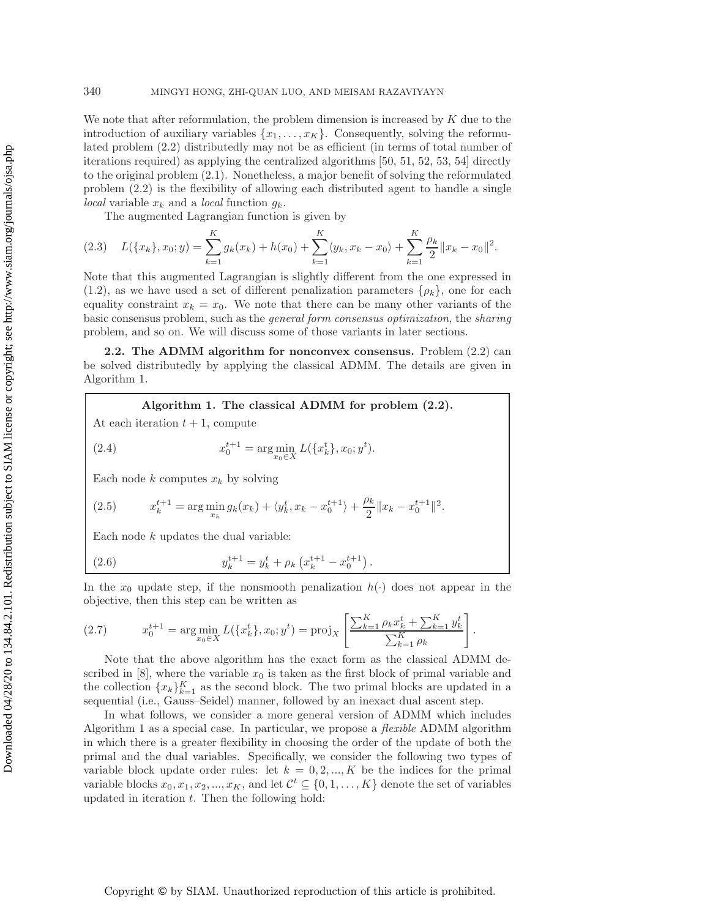We note that after reformulation, the problem dimension is increased by  $K$  due to the introduction of auxiliary variables  $\{x_1,\ldots,x_K\}$ . Consequently, solving the reformulated problem [\(2.2\)](#page-2-1) distributedly may not be as efficient (in terms of total number of iterations required) as applying the centralized algorithms [\[50,](#page-27-9) [51,](#page-27-10) [52,](#page-27-11) [53,](#page-27-12) [54\]](#page-27-13) directly to the original problem [\(2.1\)](#page-2-0). Nonetheless, a major benefit of solving the reformulated problem [\(2.2\)](#page-2-1) is the flexibility of allowing each distributed agent to handle a single *local* variable  $x_k$  and a *local* function  $g_k$ .

The augmented Lagrangian function is given by

$$
(2.3) \quad L(\lbrace x_k \rbrace, x_0; y) = \sum_{k=1}^{K} g_k(x_k) + h(x_0) + \sum_{k=1}^{K} \langle y_k, x_k - x_0 \rangle + \sum_{k=1}^{K} \frac{\rho_k}{2} ||x_k - x_0||^2.
$$

Note that this augmented Lagrangian is slightly different from the one expressed in  $(1.2)$ , as we have used a set of different penalization parameters  $\{\rho_k\}$ , one for each equality constraint  $x_k = x_0$ . We note that there can be many other variants of the basic consensus problem, such as the *general form consensus optimization*, the *sharing* problem, and so on. We will discuss some of those variants in later sections.

**2.2. The ADMM algorithm for nonconvex consensus.** Problem [\(2.2\)](#page-2-1) can be solved distributedly by applying the classical ADMM. The details are given in Algorithm 1.

**Algorithm 1. The classical ADMM for problem [\(2.2\)](#page-2-1).**

At each iteration  $t + 1$ , compute

(2.4) 
$$
x_0^{t+1} = \arg\min_{x_0 \in X} L(\{x_k^t\}, x_0; y^t).
$$

Each node k computes  $x_k$  by solving

(2.5) 
$$
x_k^{t+1} = \arg\min_{x_k} g_k(x_k) + \langle y_k^t, x_k - x_0^{t+1} \rangle + \frac{\rho_k}{2} ||x_k - x_0^{t+1}||^2.
$$

Each node  $k$  updates the dual variable:

(2.6) 
$$
y_k^{t+1} = y_k^t + \rho_k \left( x_k^{t+1} - x_0^{t+1} \right).
$$

In the  $x_0$  update step, if the nonsmooth penalization  $h(\cdot)$  does not appear in the objective, then this step can be written as

(2.7) 
$$
x_0^{t+1} = \arg\min_{x_0 \in X} L(\{x_k^t\}, x_0; y^t) = \text{proj}_X \left[ \frac{\sum_{k=1}^K \rho_k x_k^t + \sum_{k=1}^K y_k^t}{\sum_{k=1}^K \rho_k} \right].
$$

Note that the above algorithm has the exact form as the classical ADMM described in  $[8]$ , where the variable  $x_0$  is taken as the first block of primal variable and the collection  ${x_k}_{k=1}^K$  as the second block. The two primal blocks are updated in a<br>sequential (i.e., Gauss-Seidel) manner, followed by an inexact dual ascent step. sequential (i.e., Gauss–Seidel) manner, followed by an inexact dual ascent step.

In what follows, we consider a more general version of ADMM which includes Algorithm 1 as a special case. In particular, we propose a *flexible* ADMM algorithm in which there is a greater flexibility in choosing the order of the update of both the primal and the dual variables. Specifically, we consider the following two types of variable block update order rules: let  $k = 0, 2, ..., K$  be the indices for the primal variable blocks  $x_0, x_1, x_2, ..., x_K$ , and let  $\mathcal{C}^t \subseteq \{0, 1, ..., K\}$  denote the set of variables updated in iteration  $t$ . Then the following hold: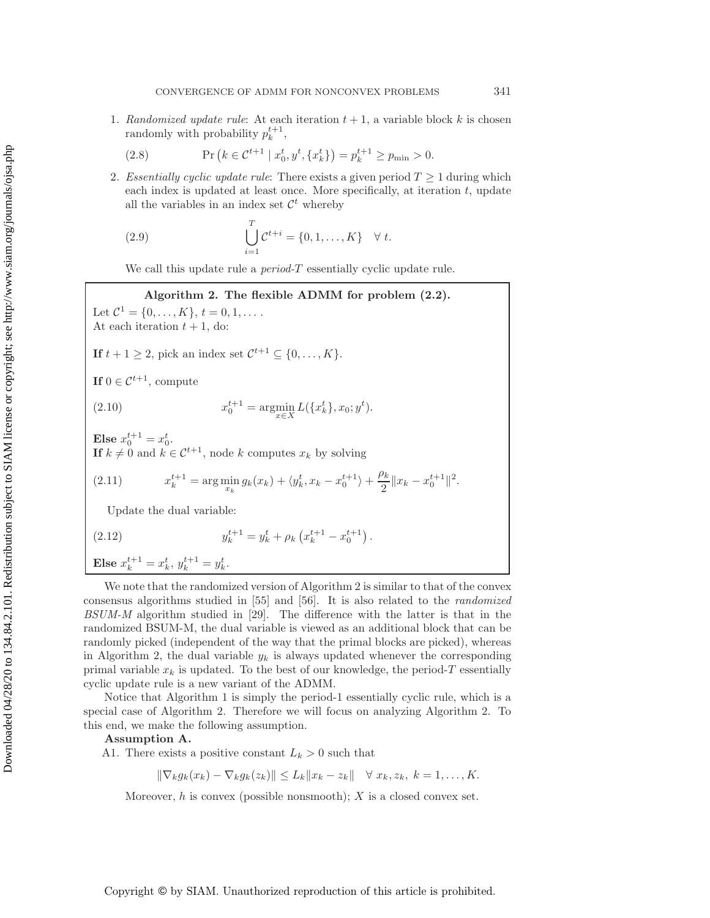1. *Randomized update rule*: At each iteration  $t + 1$ , a variable block k is chosen randomly with probability  $p_k^{t+1}$ ,

(2.8) 
$$
\Pr\left(k \in \mathcal{C}^{t+1} \mid x_0^t, y^t, \{x_k^t\}\right) = p_k^{t+1} \ge p_{\min} > 0.
$$

2. *Essentially cyclic update rule*: There exists a given period  $T \geq 1$  during which each index is updated at least once. More specifically, at iteration  $t$ , update all the variables in an index set  $\mathcal{C}^t$  whereby

(2.9) 
$$
\bigcup_{i=1}^{T} C^{t+i} = \{0, 1, ..., K\} \quad \forall t.
$$

We call this update rule a *period-*T essentially cyclic update rule.

## <span id="page-4-2"></span>**Algorithm 2. The flexible ADMM for problem [\(2.2\)](#page-2-1).**

Let  $\mathcal{C}^1 = \{0, \ldots, K\}, t = 0, 1, \ldots$ . At each iteration  $t + 1$ , do:

**If**  $t + 1 \geq 2$ , pick an index set  $C^{t+1} \subseteq \{0, ..., K\}$ .

**If**  $0 \in \mathcal{C}^{t+1}$ , compute

(2.10) 
$$
x_0^{t+1} = \operatorname*{argmin}_{x \in X} L(\{x_k^t\}, x_0; y^t).
$$

Else  $x_0^{t+1} = x_0^t$ .<br> **If**  $k \neq 0$  and  $k \neq 0$ **If**  $k \neq 0$  and  $k \in C^{t+1}$ , node k computes  $x_k$  by solving

<span id="page-4-0"></span>(2.11) 
$$
x_k^{t+1} = \arg\min_{x_k} g_k(x_k) + \langle y_k^t, x_k - x_0^{t+1} \rangle + \frac{\rho_k}{2} \|x_k - x_0^{t+1}\|^2.
$$

Update the dual variable:

<span id="page-4-1"></span>(2.12) 
$$
y_k^{t+1} = y_k^t + \rho_k \left( x_k^{t+1} - x_0^{t+1} \right).
$$

**Else**  $x_k^{t+1} = x_k^t, y_k^{t+1} = y_k^t$ .

We note that the randomized version of Algorithm 2 is similar to that of the convex consensus algorithms studied in [\[55\]](#page-27-14) and [\[56\]](#page-27-15). It is also related to the *randomized BSUM-M* algorithm studied in [\[29\]](#page-26-15). The difference with the latter is that in the randomized BSUM-M, the dual variable is viewed as an additional block that can be randomly picked (independent of the way that the primal blocks are picked), whereas in Algorithm 2, the dual variable  $y_k$  is always updated whenever the corresponding primal variable  $x_k$  is updated. To the best of our knowledge, the period-T essentially cyclic update rule is a new variant of the ADMM.

Notice that Algorithm 1 is simply the period-1 essentially cyclic rule, which is a special case of Algorithm 2. Therefore we will focus on analyzing Algorithm 2. To this end, we make the following assumption.

**Assumption A.**

A1. There exists a positive constant  $L_k > 0$  such that

 $\|\nabla_k g_k(x_k) - \nabla_k g_k(z_k)\| \leq L_k \|x_k - z_k\| \quad \forall \ x_k, z_k, \ k = 1, \ldots, K.$ 

Moreover, h is convex (possible nonsmooth);  $X$  is a closed convex set.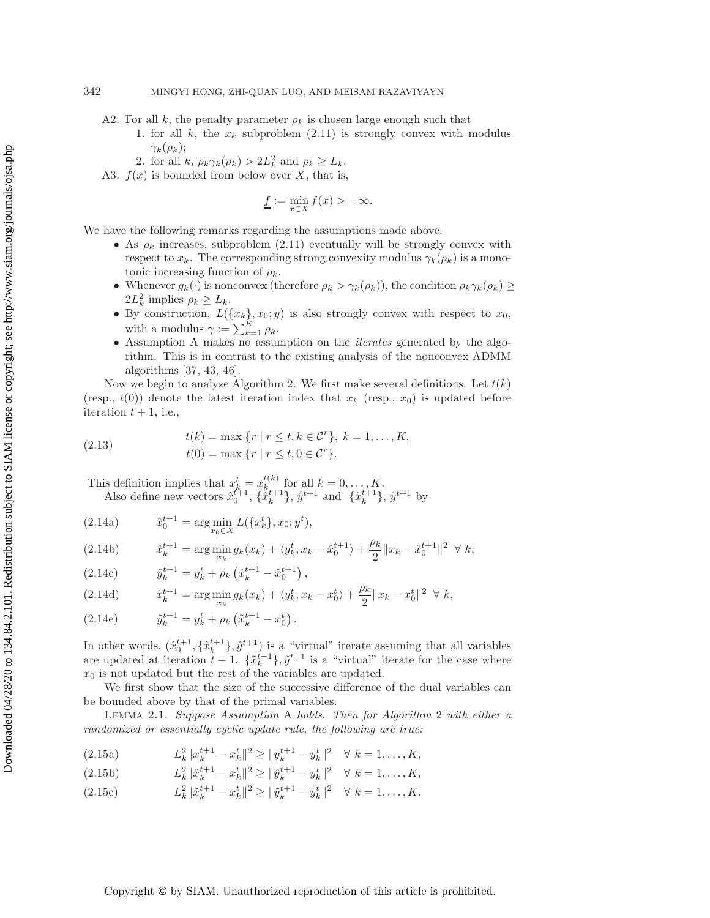- A2. For all k, the penalty parameter  $\rho_k$  is chosen large enough such that
	- 1. for all k, the  $x_k$  subproblem  $(2.11)$  is strongly convex with modulus  $\gamma_k(\rho_k);$
	- 2. for all k,  $\rho_k \gamma_k(\rho_k) > 2L_k^2$  and  $\rho_k \ge L_k$ .<br>(x) is bounded from below over X, that is
- A3.  $f(x)$  is bounded from below over X, that is,

$$
\underline{f} := \min_{x \in X} f(x) > -\infty.
$$

We have the following remarks regarding the assumptions made above.

- As  $\rho_k$  increases, subproblem [\(2.11\)](#page-4-0) eventually will be strongly convex with respect to  $x_k$ . The corresponding strong convexity modulus  $\gamma_k(\rho_k)$  is a monotonic increasing function of  $\rho_k$ .
- Whenever  $g_k(\cdot)$  is nonconvex (therefore  $\rho_k > \gamma_k(\rho_k)$ ), the condition  $\rho_k \gamma_k(\rho_k) \ge$  $2L_k^2$  implies  $\rho_k \geq L_k$ .<br>By construction  $L_k$ .
- By construction,  $L({x_k}, x_0; y)$  is also strongly convex with respect to  $x_0$ , with a modulus  $\alpha = \sum_{k=0}^{K} a_k$ with a modulus  $\gamma := \sum_{k=1}^{K} \rho_k$ .<br>Assumption A makes no assume
- Assumption A makes no assumption on the *iterates* generated by the algorithm. This is in contrast to the existing analysis of the nonconvex ADMM algorithms [\[37,](#page-26-23) [43,](#page-27-2) [46\]](#page-27-5).

Now we begin to analyze Algorithm 2. We first make several definitions. Let  $t(k)$ (resp.,  $t(0)$ ) denote the latest iteration index that  $x_k$  (resp.,  $x_0$ ) is updated before iteration  $t + 1$ , i.e.,

(2.13) 
$$
t(k) = \max \{r \mid r \le t, k \in \mathcal{C}^r\}, k = 1, ..., K, t(0) = \max \{r \mid r \le t, 0 \in \mathcal{C}^r\}.
$$

This definition implies that  $x_k^t = x_k^{t(k)}$  for all  $k = 0, ..., K$ .<br>Also define new vectors  $\hat{x}^{t+1}$   $\hat{x}^{t+1}$   $\hat{y}^{t+1}$  and  $\hat{y}^{t+1}$ Also define new vectors  $\hat{x}_0^{t+1}$ ,  $\{\hat{x}_k^{t+1}\}, \hat{y}^{t+1}$  and  $\{\tilde{x}_k^{t+1}\}, \tilde{y}^{t+1}$  by

(2.14a) 
$$
\hat{x}_0^{t+1} = \arg\min_{x_0 \in X} L(\{x_k^t\}, x_0; y^t),
$$

(2.14b) 
$$
\hat{x}_{k}^{t+1} = \arg\min_{x_k} g_k(x_k) + \langle y_k^t, x_k - \hat{x}_0^{t+1} \rangle + \frac{\rho_k}{2} \|x_k - \hat{x}_0^{t+1}\|^2 \ \forall \ k,
$$

(2.14c) 
$$
\hat{y}_k^{t+1} = y_k^t + \rho_k \left( \hat{x}_k^{t+1} - \hat{x}_0^{t+1} \right),
$$

(2.14d) 
$$
\tilde{x}_{k}^{t+1} = \arg \min_{x_k} g_k(x_k) + \langle y_k^t, x_k - x_0^t \rangle + \frac{\rho_k}{2} \| x_k - x_0^t \|^2 \ \forall \ k,
$$

(2.14e) 
$$
\tilde{y}_{k}^{t+1} = y_{k}^{t} + \rho_{k} \left( \tilde{x}_{k}^{t+1} - x_{0}^{t} \right).
$$

In other words,  $(\hat{x}_0^{t+1}, {\hat{x}_k^{t+1}}), \hat{y}^{t+1}$  is a "virtual" iterate assuming that all variables<br>are undated at iteration  $t+1$ ,  $\{\tilde{x}^{t+1}\}\tilde{y}^{t+1}$  is a "virtual" iterate for the case where are updated at iteration  $t + 1$ .  $\{\tilde{x}_{k}^{t+1}\}, \tilde{y}^{t+1}$  is a "virtual" iterate for the case where  $x_0$  is not updated but the rest of the variables are updated  $x_0$  is not updated but the rest of the variables are updated.

We first show that the size of the successive difference of the dual variables can be bounded above by that of the primal variables.

<span id="page-5-1"></span>Lemma 2.1. *Suppose Assumption* A *holds. Then for Algorithm* 2 *with either a randomized or essentially cyclic update rule, the following are true:*

- <span id="page-5-0"></span>(2.15a)  $L_k^2 \|x_k^{t+1} - x_k^t\|^2 \ge \|y_k^{t+1} - y_k^t\|^2 \quad \forall \ k = 1, ..., K,$
- (2.15b)  $L_k^2 ||\hat{x}_{k+1}^{t+1} x_k^t||^2 \ge ||\hat{y}_{k+1}^{t+1} y_k^t||^2 \quad \forall \ k = 1, ..., K,$

(2.15c) 
$$
L_k^2 \|\tilde{x}_k^{t+1} - x_k^t\|^2 \ge \|\tilde{y}_k^{t+1} - y_k^t\|^2 \quad \forall \ k = 1, ..., K.
$$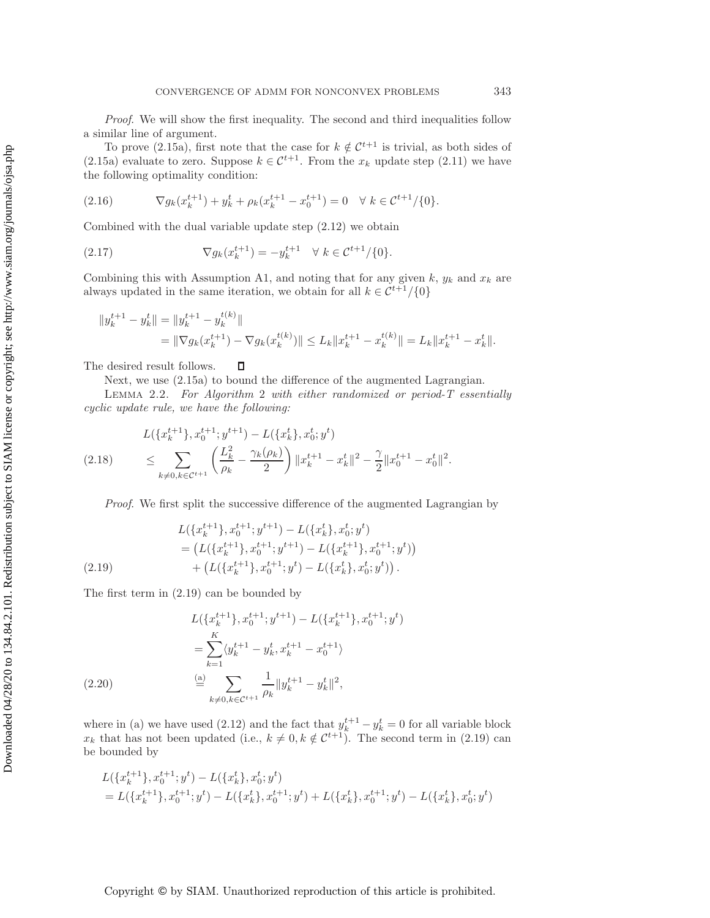*Proof*. We will show the first inequality. The second and third inequalities follow a similar line of argument.

To prove [\(2.15a\)](#page-5-0), first note that the case for  $k \notin \mathcal{C}^{t+1}$  is trivial, as both sides of [\(2.15a\)](#page-5-0) evaluate to zero. Suppose  $k \in \mathcal{C}^{t+1}$ . From the  $x_k$  update step [\(2.11\)](#page-4-0) we have the following optimality condition:

$$
(2.16) \t\nabla g_k(x_k^{t+1}) + y_k^t + \rho_k(x_k^{t+1} - x_0^{t+1}) = 0 \quad \forall \ k \in \mathcal{C}^{t+1}/\{0\}.
$$

Combined with the dual variable update step [\(2.12\)](#page-4-1) we obtain

<span id="page-6-2"></span>(2.17) 
$$
\nabla g_k(x_k^{t+1}) = -y_k^{t+1} \quad \forall \ k \in \mathcal{C}^{t+1}/\{0\}.
$$

Combining this with Assumption A1, and noting that for any given  $k$ ,  $y_k$  and  $x_k$  are always updated in the same iteration, we obtain for all  $k \in C^{t+1}/\{0\}$ 

$$
||y_k^{t+1} - y_k^t|| = ||y_k^{t+1} - y_k^{t(k)}||
$$
  
=  $||\nabla g_k(x_k^{t+1}) - \nabla g_k(x_k^{t(k)})|| \le L_k ||x_k^{t+1} - x_k^{t(k)}|| = L_k ||x_k^{t+1} - x_k^t||.$ 

 $\Box$ The desired result follows.

<span id="page-6-4"></span>Next, we use [\(2.15a\)](#page-5-0) to bound the difference of the augmented Lagrangian.

Lemma 2.2. *For Algorithm* 2 *with either randomized or period-T essentially cyclic update rule, we have the following:*

<span id="page-6-3"></span>
$$
L(\lbrace x_k^{t+1} \rbrace, x_0^{t+1}; y^{t+1}) - L(\lbrace x_k^t \rbrace, x_0^t; y^t)
$$
  
(2.18) 
$$
\leq \sum_{k \neq 0, k \in \mathcal{C}^{t+1}} \left( \frac{L_k^2}{\rho_k} - \frac{\gamma_k(\rho_k)}{2} \right) \|x_k^{t+1} - x_k^t\|^2 - \frac{\gamma}{2} \|x_0^{t+1} - x_0^t\|^2.
$$

*Proof*. We first split the successive difference of the augmented Lagrangian by

$$
L(\lbrace x_k^{t+1} \rbrace, x_0^{t+1}; y^{t+1}) - L(\lbrace x_k^t \rbrace, x_0^t; y^t)
$$
  
= 
$$
\left( L(\lbrace x_k^{t+1} \rbrace, x_0^{t+1}; y^{t+1}) - L(\lbrace x_k^{t+1} \rbrace, x_0^{t+1}; y^t) \right)
$$
  

$$
+ \left( L(\lbrace x_k^{t+1} \rbrace, x_0^{t+1}; y^t) - L(\lbrace x_k^t \rbrace, x_0^t; y^t) \right).
$$

<span id="page-6-0"></span>The first term in [\(2.19\)](#page-6-0) can be bounded by

$$
L(\lbrace x_k^{t+1} \rbrace, x_0^{t+1}; y^{t+1}) - L(\lbrace x_k^{t+1} \rbrace, x_0^{t+1}; y^t)
$$
  
= 
$$
\sum_{k=1}^K \langle y_k^{t+1} - y_k^t, x_k^{t+1} - x_0^{t+1} \rangle
$$
  
(2.20) 
$$
\stackrel{\text{(a)}}{=} \sum_{k \neq 0, k \in \mathcal{C}^{t+1}} \frac{1}{\rho_k} ||y_k^{t+1} - y_k^t||^2,
$$

<span id="page-6-1"></span>where in (a) we have used [\(2.12\)](#page-4-1) and the fact that  $y_k^{t+1} - y_k^t = 0$  for all variable block<br>x, that has not been undated (i.e.,  $k \neq 0$ ,  $k \notin C^{t+1}$ ). The second term in (2.19) can  $x_k$  that has not been updated (i.e.,  $k \neq 0, k \notin \mathcal{C}^{t+1}$ ). The second term in [\(2.19\)](#page-6-0) can<br>be bounded by be bounded by

$$
L(\lbrace x_k^{t+1} \rbrace, x_0^{t+1}; y^t) - L(\lbrace x_k^t \rbrace, x_0^t; y^t) = L(\lbrace x_k^{t+1} \rbrace, x_0^{t+1}; y^t) - L(\lbrace x_k^t \rbrace, x_0^{t+1}; y^t) + L(\lbrace x_k^t \rbrace, x_0^{t+1}; y^t) - L(\lbrace x_k^t \rbrace, x_0^t; y^t)
$$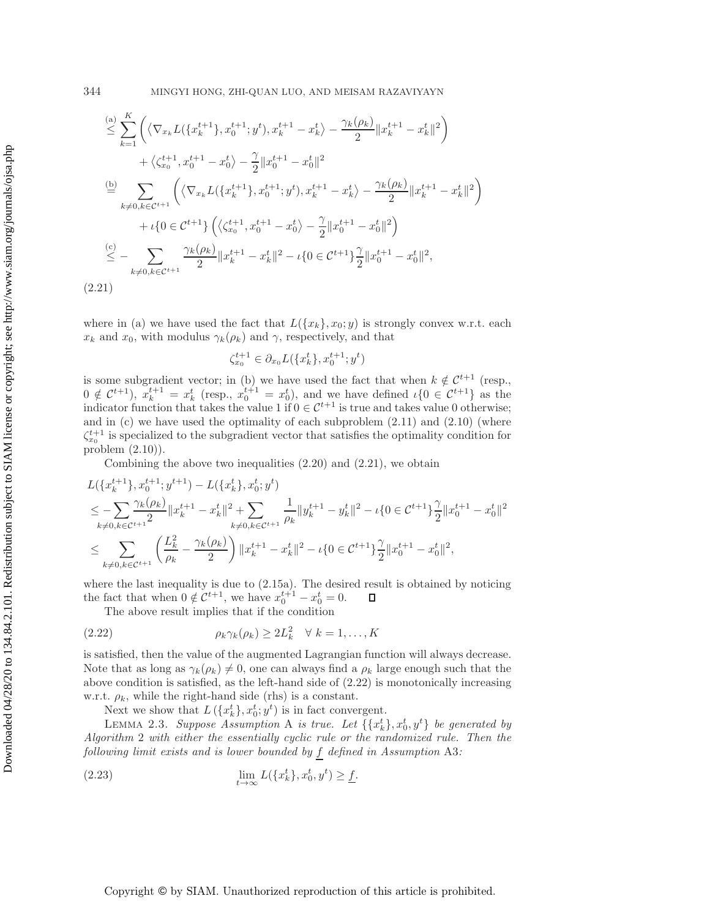$$
\leq \sum_{k=1}^{(a)} \left( \langle \nabla_{x_k} L(\{x_k^{t+1}\}, x_0^{t+1}; y^t), x_k^{t+1} - x_k^t \rangle - \frac{\gamma_k(\rho_k)}{2} \|x_k^{t+1} - x_k^t\|^2 \right) \n+ \langle \zeta_{x_0}^{t+1}, x_0^{t+1} - x_0^t \rangle - \frac{\gamma}{2} \|x_0^{t+1} - x_0^t\|^2 \n\stackrel{\text{(b)}}{=} \sum_{k \neq 0, k \in \mathcal{C}^{t+1}} \left( \langle \nabla_{x_k} L(\{x_k^{t+1}\}, x_0^{t+1}; y^t), x_k^{t+1} - x_k^t \rangle - \frac{\gamma_k(\rho_k)}{2} \|x_k^{t+1} - x_k^t\|^2 \right) \n+ \iota \{0 \in \mathcal{C}^{t+1}\} \left( \langle \zeta_{x_0}^{t+1}, x_0^{t+1} - x_0^t \rangle - \frac{\gamma}{2} \|x_0^{t+1} - x_0^t\|^2 \right) \n\leq - \sum_{k \neq 0, k \in \mathcal{C}^{t+1}} \frac{\gamma_k(\rho_k)}{2} \|x_k^{t+1} - x_k^t\|^2 - \iota \{0 \in \mathcal{C}^{t+1}\} \frac{\gamma}{2} \|x_0^{t+1} - x_0^t\|^2,
$$
\n(2.21)

<span id="page-7-0"></span>where in (a) we have used the fact that  $L({x_k}, x_0; y)$  is strongly convex w.r.t. each  $x_k$  and  $x_0$ , with modulus  $\gamma_k(\rho_k)$  and  $\gamma$ , respectively, and that

$$
\zeta_{x_0}^{t+1} \in \partial_{x_0} L(\{x_k^t\}, x_0^{t+1}; y^t)
$$

is some subgradient vector; in (b) we have used the fact that when  $k \notin C^{t+1}$  (resp.,  $0 \notin C^{t+1}$ ,  $x_k^{t+1} = x_k^t$  (resp.,  $x_0^{t+1} = x_0^t$ ), and we have defined  $\iota\{0 \in C^{t+1}\}\$  as the indicator function that takes the value 1 if  $0 \in C^{t+1}$  is true and takes value 0 otherwise. indicator function that takes the value 1 if  $0 \in C^{t+1}$  is true and takes value 0 otherwise; and in  $(c)$  we have used the optimality of each subproblem  $(2.11)$  and  $(2.10)$  (where  $\zeta_{x_0}^{t+1}$  is specialized to the subgradient vector that satisfies the optimality condition for  $\text{graph}(2,10)$ problem [\(2.10\)](#page-4-2)).

Combining the above two inequalities [\(2.20\)](#page-6-1) and [\(2.21\)](#page-7-0), we obtain

$$
L(\{x_k^{t+1}\}, x_0^{t+1}; y^{t+1}) - L(\{x_k^t\}, x_0^t; y^t)
$$
  
\n
$$
\leq -\sum_{k \neq 0, k \in \mathcal{C}^{t+1}} \frac{\gamma_k(\rho_k)}{2} \|x_k^{t+1} - x_k^t\|^2 + \sum_{k \neq 0, k \in \mathcal{C}^{t+1}} \frac{1}{\rho_k} \|y_k^{t+1} - y_k^t\|^2 - \iota \{0 \in \mathcal{C}^{t+1}\} \frac{\gamma}{2} \|x_0^{t+1} - x_0^t\|^2
$$
  
\n
$$
\leq \sum_{k \neq 0, k \in \mathcal{C}^{t+1}} \left( \frac{L_k^2}{\rho_k} - \frac{\gamma_k(\rho_k)}{2} \right) \|x_k^{t+1} - x_k^t\|^2 - \iota \{0 \in \mathcal{C}^{t+1}\} \frac{\gamma}{2} \|x_0^{t+1} - x_0^t\|^2,
$$

where the last inequality is due to [\(2.15a\)](#page-5-0). The desired result is obtained by noticing the fact that when  $0 \notin C^{t+1}$ , we have  $x_0^{t+1} - x_0^t = 0$ .<br>The above result implies that if the condition  $\Box$ 

The above result implies that if the condition

<span id="page-7-1"></span>(2.22) 
$$
\rho_k \gamma_k(\rho_k) \geq 2L_k^2 \quad \forall \ k = 1, ..., K
$$

is satisfied, then the value of the augmented Lagrangian function will always decrease. Note that as long as  $\gamma_k(\rho_k) \neq 0$ , one can always find a  $\rho_k$  large enough such that the above condition is satisfied, as the left-hand side of (2.22) is monotonically increasing above condition is satisfied, as the left-hand side of  $(2.22)$  is monotonically increasing w.r.t.  $\rho_k$ , while the right-hand side (rhs) is a constant.

<span id="page-7-2"></span>Next we show that  $L(\lbrace x_k^t \rbrace, x_0^t; y^t)$  is in fact convergent.<br>LEMMA 2.3. Suppose A segurition A is true. Let  $\lbrace x_k^t \rbrace$ 

LEMMA 2.3. Suppose Assumption A is true. Let  $\{\{x_k^t\}, x_0^t, y^t\}$  be generated by<br>prition 2 with either the essentially cyclic rule or the randomized rule. Then the LEMMA 2.5. Suppose Assumption A is true. Let  $\{\mathfrak{X}_k\}$ ,  $x_0$ ,  $y$   $\}$  be generated by<br>Algorithm 2 with either the essentially cyclic rule or the randomized rule. Then the *following limit exists and is lower bounded by* f *defined in Assumption* A3*:*

(2.23) 
$$
\lim_{t \to \infty} L(\{x_k^t\}, x_0^t, y^t) \geq \underline{f}.
$$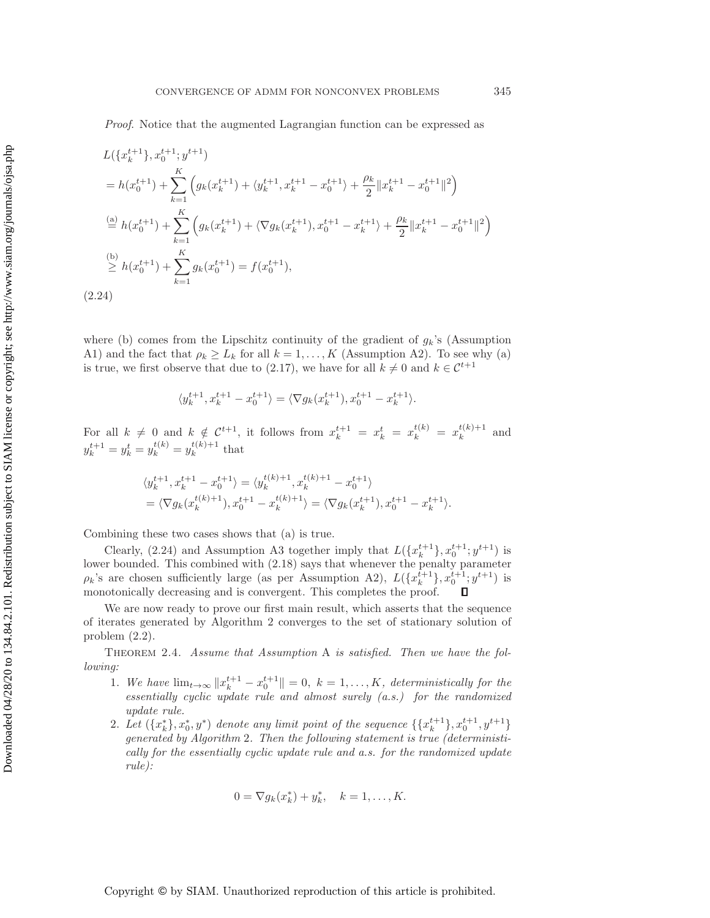*Proof*. Notice that the augmented Lagrangian function can be expressed as

$$
L(\lbrace x_k^{t+1} \rbrace, x_0^{t+1}; y^{t+1})
$$
\n
$$
= h(x_0^{t+1}) + \sum_{k=1}^K \left( g_k(x_k^{t+1}) + \langle y_k^{t+1}, x_k^{t+1} - x_0^{t+1} \rangle + \frac{\rho_k}{2} \| x_k^{t+1} - x_0^{t+1} \|^2 \right)
$$
\n
$$
\stackrel{\text{(a)}}{=} h(x_0^{t+1}) + \sum_{k=1}^K \left( g_k(x_k^{t+1}) + \langle \nabla g_k(x_k^{t+1}), x_0^{t+1} - x_k^{t+1} \rangle + \frac{\rho_k}{2} \| x_k^{t+1} - x_0^{t+1} \|^2 \right)
$$
\n
$$
\stackrel{\text{(b)}}{\geq} h(x_0^{t+1}) + \sum_{k=1}^K g_k(x_0^{t+1}) = f(x_0^{t+1}),
$$
\n(2.24)

<span id="page-8-0"></span>where (b) comes from the Lipschitz continuity of the gradient of  $g_k$ 's (Assumption A1) and the fact that  $\rho_k \geq L_k$  for all  $k = 1, ..., K$  (Assumption A2). To see why (a) is true, we first observe that due to [\(2.17\)](#page-6-2), we have for all  $k \neq 0$  and  $k \in \mathcal{C}^{t+1}$ 

$$
\langle y_k^{t+1}, x_k^{t+1} - x_0^{t+1} \rangle = \langle \nabla g_k(x_k^{t+1}), x_0^{t+1} - x_k^{t+1} \rangle.
$$

For all  $k \neq 0$  and  $k \notin C^{t+1}$ , it follows from  $x_k^{t+1} = x_k^t = x_k^{t(k)} = x_k^{t(k)+1}$  and  $x_{k+1}^{t+1} = x_k^{t(k)} = x_k^{t(k)}$  $y_k^{t+1} = y_k^t = y_k^{t(k)} = y_k^{t(k)+1}$  that

$$
\langle y_k^{t+1}, x_k^{t+1} - x_0^{t+1} \rangle = \langle y_k^{t(k)+1}, x_k^{t(k)+1} - x_0^{t+1} \rangle
$$
  
=  $\langle \nabla g_k(x_k^{t(k)+1}), x_0^{t+1} - x_k^{t(k)+1} \rangle = \langle \nabla g_k(x_k^{t+1}), x_0^{t+1} - x_k^{t+1} \rangle.$ 

Combining these two cases shows that (a) is true.

Clearly,  $(2.24)$  and Assumption A3 together imply that  $L(\lbrace x_k^{t+1} \rbrace, x_0^{t+1}; y^{t+1})$  is<br>r bounded. This combined with  $(2.18)$  says that whenever the penalty parameter lower bounded. This combined with [\(2.18\)](#page-6-3) says that whenever the penalty parameter  $\rho_k$ 's are chosen sufficiently large (as per Assumption A2),  $L({x_k^{t+1}}), x_0^{t+1}; y^{t+1})$  is<br>monotonically decreasing and is convergent. This completes the proof monotonically decreasing and is convergent. This completes the proof.

We are now ready to prove our first main result, which asserts that the sequence of iterates generated by Algorithm 2 converges to the set of stationary solution of problem [\(2.2\)](#page-2-1).

<span id="page-8-1"></span>Theorem 2.4. *Assume that Assumption* A *is satisfied. Then we have the following:*

- 1. We have  $\lim_{t\to\infty} \|x_k^{t+1} x_0^{t+1}\| = 0, k = 1,\ldots,K$ , deterministically for the essentially cyclic undate rule and almost syrely  $(a, s)$  for the randomized *essentially cyclic update rule and almost surely (a.s.) for the randomized update rule.*
- 2. Let  $({x<sub>k</sub><sup>*</sup>}, x<sub>0</sub><sup>*</sup>, y<sup>*</sup>)$  denote any limit point of the sequence  $({x<sub>k</sub><sup>t+1</sup>}, x<sub>0</sub><sup>t+1</sup>, y<sup>t+1</sup>)$ <br>generated by Algorithm 2. Then the following statement is true (deterministic *generated by Algorithm* 2*. Then the following statement is true (deterministically for the essentially cyclic update rule and a.s. for the randomized update rule):*

$$
0 = \nabla g_k(x_k^*) + y_k^*, \quad k = 1, \dots, K.
$$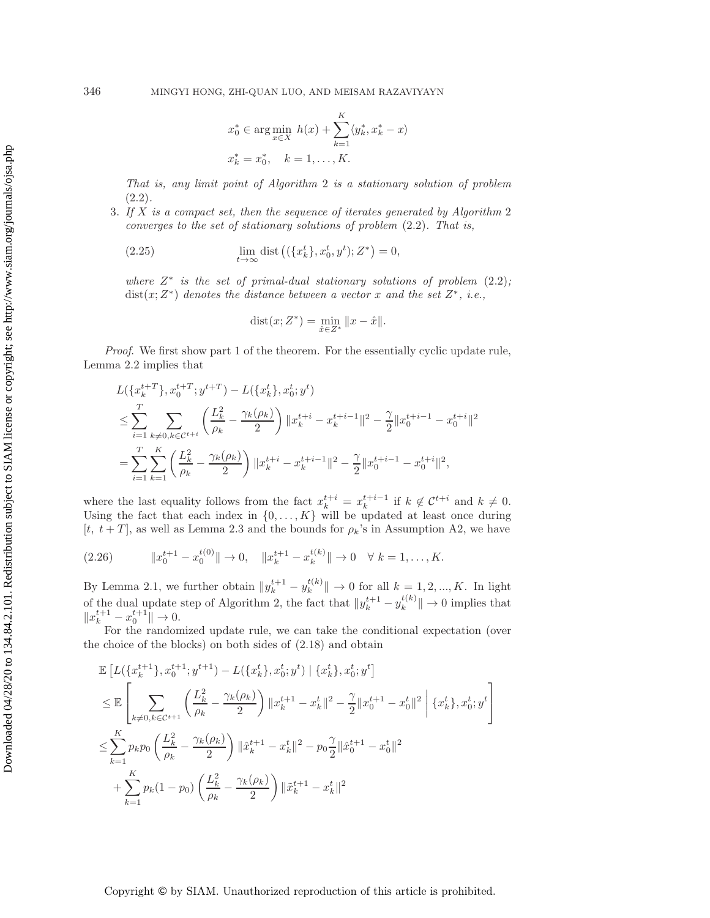Downloaded 04/28/20 to 134.84.2.101. Redistribution subject to SIAM license or copyright; see http://www.siam.org/journals/ojsa.php Downloaded 04/28/20 to 134.84.2.101. Redistribution subject to SIAM license or copyright; see http://www.siam.org/journals/ojsa.php

$$
x_0^* \in \arg\min_{x \in X} h(x) + \sum_{k=1}^K \langle y_k^*, x_k^* - x \rangle
$$
  
 $x_k^* = x_0^*, \quad k = 1, ..., K.$ 

*That is, any limit point of Algorithm* 2 *is a stationary solution of problem* [\(2.2\)](#page-2-1)*.*

<sup>3</sup>. *If* X *is a compact set, then the sequence of iterates generated by Algorithm* <sup>2</sup> *converges to the set of stationary solutions of problem* [\(2.2\)](#page-2-1)*. That is,*

(2.25) 
$$
\lim_{t \to \infty} \text{dist}\left( (\{x_k^t\}, x_0^t, y^t); Z^* \right) = 0,
$$

*where* <sup>Z</sup><sup>∗</sup> *is the set of primal-dual stationary solutions of problem* [\(2.2\)](#page-2-1)*;* dist(x;Z∗) *denotes the distance between a vector* x *and the set* Z∗*, i.e.,*

$$
dist(x; Z^*) = \min_{\hat{x} \in Z^*} ||x - \hat{x}||.
$$

*Proof.* We first show part 1 of the theorem. For the essentially cyclic update rule, Lemma [2.2](#page-6-4) implies that

$$
L(\lbrace x_k^{t+T} \rbrace, x_0^{t+T}; y^{t+T}) - L(\lbrace x_k^{t} \rbrace, x_0^{t}; y^{t})
$$
  
\n
$$
\leq \sum_{i=1}^T \sum_{k \neq 0, k \in \mathcal{C}^{t+i}} \left( \frac{L_k^2}{\rho_k} - \frac{\gamma_k(\rho_k)}{2} \right) ||x_k^{t+i} - x_k^{t+i-1}||^2 - \frac{\gamma}{2} ||x_0^{t+i-1} - x_0^{t+i}||^2
$$
  
\n
$$
= \sum_{i=1}^T \sum_{k=1}^K \left( \frac{L_k^2}{\rho_k} - \frac{\gamma_k(\rho_k)}{2} \right) ||x_k^{t+i} - x_k^{t+i-1}||^2 - \frac{\gamma}{2} ||x_0^{t+i-1} - x_0^{t+i}||^2,
$$

where the last equality follows from the fact  $x_k^{t+i} = x_k^{t+i-1}$  if  $k \notin \mathcal{C}^{t+i}$  and  $k \neq 0$ .<br>Using the fact that each index in  $\{0\}$   $K\}$  will be undated at least once during Using the fact that each index in  $\{0,\ldots,K\}$  will be updated at least once during [t,  $t + T$ ], as well as Lemma [2.3](#page-7-2) and the bounds for  $\rho_k$ 's in Assumption A2, we have

<span id="page-9-0"></span>
$$
(2.26) \t\t ||x_0^{t+1} - x_0^{t(0)}|| \to 0, \t ||x_k^{t+1} - x_k^{t(k)}|| \to 0 \quad \forall \ k = 1, ..., K.
$$

By Lemma [2.1,](#page-5-1) we further obtain  $||y_k^{t+1} - y_k^{t(k)}|| \to 0$  for all  $k = 1, 2, ..., K$ . In light of the dual update step of Algorithm 2, the fact that  $||y_k^{t+1} - y_k^{t(k)}|| \to 0$  implies that  $||x^{t+1} - x^{t+1}|| \to 0$  $\|x_k^{t+1} - x_0^{t+1}\| \to 0.$  For the random

For the randomized update rule, we can take the conditional expectation (over the choice of the blocks) on both sides of [\(2.18\)](#page-6-3) and obtain

$$
\mathbb{E}\left[L(\{x_k^{t+1}\}, x_0^{t+1}; y^{t+1}) - L(\{x_k^t\}, x_0^t; y^t) \mid \{x_k^t\}, x_0^t; y^t\right] \n\leq \mathbb{E}\left[\sum_{k\neq 0, k\in\mathcal{C}^{t+1}} \left(\frac{L_k^2}{\rho_k} - \frac{\gamma_k(\rho_k)}{2}\right) \|x_k^{t+1} - x_k^t\|^2 - \frac{\gamma}{2} \|x_0^{t+1} - x_0^t\|^2 \mid \{x_k^t\}, x_0^t; y^t\right] \n\leq \sum_{k=1}^K p_k p_0 \left(\frac{L_k^2}{\rho_k} - \frac{\gamma_k(\rho_k)}{2}\right) \|\hat{x}_k^{t+1} - x_k^t\|^2 - p_0 \frac{\gamma}{2} \|\hat{x}_0^{t+1} - x_0^t\|^2 \n+ \sum_{k=1}^K p_k (1 - p_0) \left(\frac{L_k^2}{\rho_k} - \frac{\gamma_k(\rho_k)}{2}\right) \|\tilde{x}_k^{t+1} - x_k^t\|^2
$$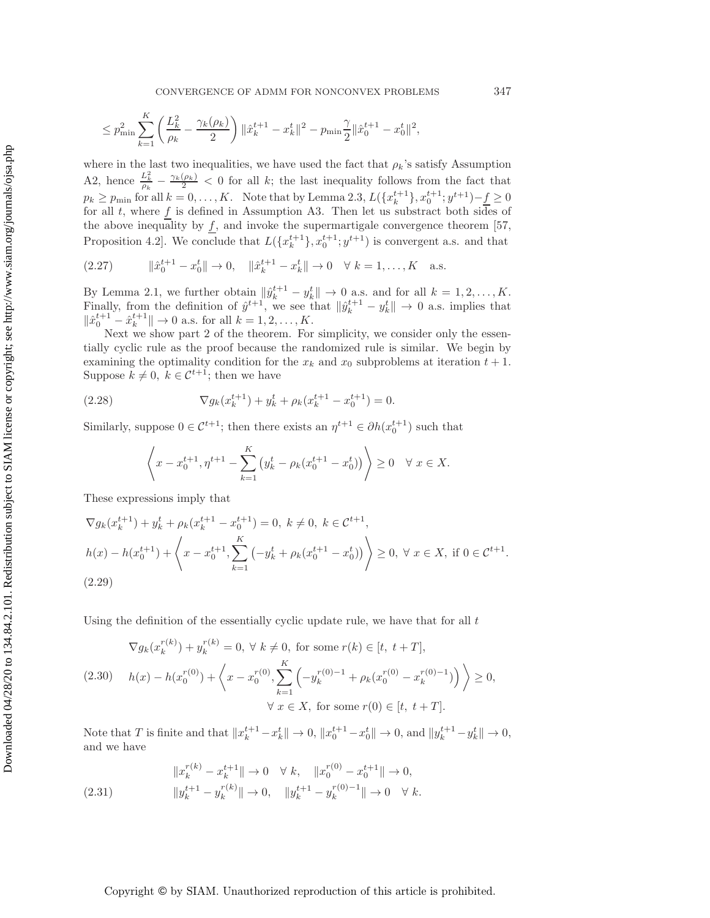$$
\leq p_{\min}^2 \sum_{k=1}^K \left( \frac{L_k^2}{\rho_k} - \frac{\gamma_k(\rho_k)}{2} \right) \|\hat{x}_{k}^{t+1} - x_k^t\|^2 - p_{\min} \frac{\gamma}{2} \|\hat{x}_0^{t+1} - x_0^t\|^2,
$$

where in the last two inequalities, we have used the fact that  $\rho_k$ 's satisfy Assumption A2, hence  $\frac{L_k^2}{\rho_k} - \frac{\gamma_k(\rho_k)}{2} < 0$  for all k; the last inequality follows from the fact that  $p_k \geq p_{\text{min}}$  for all  $k = 0, \ldots, K$ . Note that by Lemma [2.3,](#page-7-2)  $L(\lbrace x_k^{t+1} \rbrace, x_0^{t+1}; y^{t+1}) - \underline{f} \geq 0$ <br>for all t, where f is defined in Assumption A3. Then let us substract both sides of for all t, where f is defined in Assumption A3. Then let us substract both sides of the above inequality by  $f$ , and invoke the supermartigale convergence theorem [\[57,](#page-27-16) Proposition 4.2]. We conclude that  $L(\lbrace x_k^{t+1} \rbrace, x_0^{t+1}; y^{t+1})$  is convergent a.s. and that

$$
(2.27) \t ||\hat{x}_0^{t+1} - x_0^t|| \to 0, \t ||\hat{x}_k^{t+1} - x_k^t|| \to 0 \quad \forall \ k = 1, ..., K \quad \text{a.s.}
$$

By Lemma [2.1,](#page-5-1) we further obtain  $\|\hat{y}_{k}^{t+1} - y_{k}^{t}\| \to 0$  a.s. and for all  $k = 1, 2, ..., K$ .<br>Finally from the definition of  $\hat{y}_{k}^{t+1}$  we see that  $\|\hat{y}_{k}^{t+1} - y_{k}^{t}\| \to 0$  as implies that Finally, from the definition of  $\hat{y}^{t+1}$ , we see that  $\|\hat{y}_k^{t+1} - y_k^t\| \to 0$  a.s. implies that  $\|\hat{y}_k^{t+1} - \hat{y}_k^{t+1}\| \to 0$  a.s. see for all  $k-1, 2, \ldots, K$  $\|\hat{x}_0^{t+1} - \hat{x}_k^{t+1}\| \to 0$  a.s. for all  $k = 1, 2, ..., K$ .<br>Next we show part 2 of the theorem. For

Next we show part 2 of the theorem. For simplicity, we consider only the essentially cyclic rule as the proof because the randomized rule is similar. We begin by examining the optimality condition for the  $x_k$  and  $x_0$  subproblems at iteration  $t + 1$ . Suppose  $k \neq 0, k \in \mathcal{C}^{t+1}$ ; then we have

(2.28) 
$$
\nabla g_k(x_k^{t+1}) + y_k^t + \rho_k(x_k^{t+1} - x_0^{t+1}) = 0.
$$

Similarly, suppose  $0 \in C^{t+1}$ ; then there exists an  $\eta^{t+1} \in \partial h(x_0^{t+1})$  such that

$$
\left\langle x - x_0^{t+1}, \eta^{t+1} - \sum_{k=1}^K \left( y_k^t - \rho_k (x_0^{t+1} - x_0^t) \right) \right\rangle \ge 0 \quad \forall \ x \in X.
$$

These expressions imply that

$$
\nabla g_k(x_k^{t+1}) + y_k^t + \rho_k(x_k^{t+1} - x_0^{t+1}) = 0, \ k \neq 0, \ k \in \mathcal{C}^{t+1},
$$
  

$$
h(x) - h(x_0^{t+1}) + \left\langle x - x_0^{t+1}, \sum_{k=1}^K \left( -y_k^t + \rho_k(x_0^{t+1} - x_0^t) \right) \right\rangle \ge 0, \ \forall \ x \in X, \text{ if } 0 \in \mathcal{C}^{t+1}.
$$
  
(2.29)

Using the definition of the essentially cyclic update rule, we have that for all  $t$ 

<span id="page-10-0"></span>
$$
\nabla g_k(x_k^{r(k)}) + y_k^{r(k)} = 0, \ \forall \ k \neq 0, \text{ for some } r(k) \in [t, \ t + T],
$$
\n
$$
(2.30) \quad h(x) - h(x_0^{r(0)}) + \left\langle x - x_0^{r(0)}, \sum_{k=1}^K \left( -y_k^{r(0)-1} + \rho_k(x_0^{r(0)} - x_k^{r(0)-1}) \right) \right\rangle \ge 0,
$$
\n
$$
\forall \ x \in X, \text{ for some } r(0) \in [t, \ t + T].
$$

Note that T is finite and that  $||x_k^{t+1} - x_k^t|| \to 0$ ,  $||x_0^{t+1} - x_0^t|| \to 0$ , and  $||y_k^{t+1} - y_k^t|| \to 0$ , and we have and we have

(2.31) 
$$
\|x_k^{r(k)} - x_k^{t+1}\| \to 0 \quad \forall k, \quad \|x_0^{r(0)} - x_0^{t+1}\| \to 0,
$$

$$
\|y_k^{t+1} - y_k^{r(k)}\| \to 0, \quad \|y_k^{t+1} - y_k^{r(0)-1}\| \to 0 \quad \forall k.
$$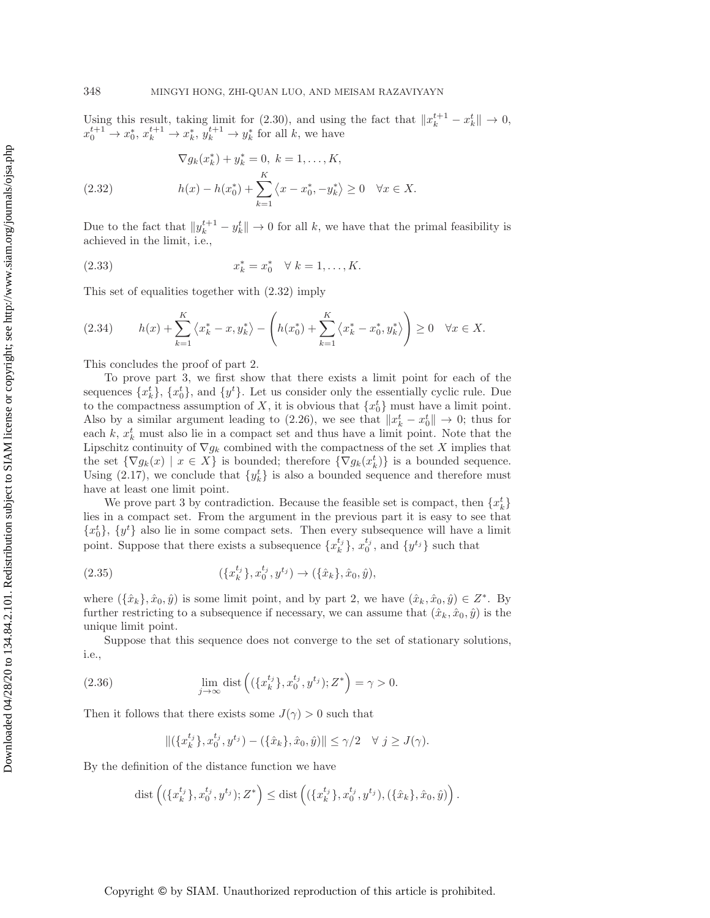Using this result, taking limit for [\(2.30\)](#page-10-0), and using the fact that  $||x_k^{t+1} - x_k^t|| \to 0$ ,<br> $x^{t+1} \to x^*$ ,  $x^{t+1} \to x^*$ ,  $y^{t+1} \to y^*$  for all k, we have  $x_0^{t+1} \to x_0^*, x_k^{t+1} \to x_k^*, y_k^{t+1} \to y_k^*$  for all k, we have

<span id="page-11-0"></span>(2.32) 
$$
\nabla g_k(x_k^*) + y_k^* = 0, \ k = 1, ..., K,
$$

$$
h(x) - h(x_0^*) + \sum_{k=1}^K \langle x - x_0^*, -y_k^* \rangle \ge 0 \quad \forall x \in X.
$$

Due to the fact that  $||y_k^{t+1} - y_k^{t}|| \to 0$  for all k, we have that the primal feasibility is achieved in the limit i.e. achieved in the limit, i.e.,

(2.33) 
$$
x_k^* = x_0^* \quad \forall \ k = 1, ..., K.
$$

This set of equalities together with [\(2.32\)](#page-11-0) imply

$$
(2.34) \t h(x) + \sum_{k=1}^{K} \langle x_k^* - x, y_k^* \rangle - \left( h(x_0^*) + \sum_{k=1}^{K} \langle x_k^* - x_0^*, y_k^* \rangle \right) \ge 0 \quad \forall x \in X.
$$

This concludes the proof of part 2.

To prove part 3, we first show that there exists a limit point for each of the sequences  $\{x_k^t\}$ ,  $\{x_0^t\}$ , and  $\{y^t\}$ . Let us consider only the essentially cyclic rule. Due<br>to the compactness assumption of X it is obvious that  $\{x^t\}$  must have a limit point to the compactness assumption of X, it is obvious that  $\{x_0^t\}$  must have a limit point.<br>Also by a similar argument leading to (2.26), we see that  $||x^t - x^t|| \to 0$ ; thus for Also by a similar argument leading to  $(2.26)$ , we see that  $||x_k^t - x_0^t|| \to 0$ ; thus for each  $k, x^t$  must also lie in a compact set and thus have a limit point. Note that the each k,  $x_k^t$  must also lie in a compact set and thus have a limit point. Note that the Linschitz continuity of  $\nabla a_k$  combined with the compactness of the set X implies that Lipschitz continuity of  $\nabla g_k$  combined with the compactness of the set X implies that the set  $\{\nabla g_k(x) \mid x \in X\}$  is bounded; therefore  $\{\nabla g_k(x_k^t)\}\$  is a bounded sequence.<br>Using (2.17), we conclude that  $\{u^t\}$  is also a bounded sequence and therefore must Using [\(2.17\)](#page-6-2), we conclude that  $\{y_k^t\}$  is also a bounded sequence and therefore must<br>have at least one limit point have at least one limit point.

We prove part 3 by contradiction. Because the feasible set is compact, then  $\{x_k^t\}$ lies in a compact set. From the argument in the previous part it is easy to see that  $\{x_0^t\}$ ,  $\{y^t\}$  also lie in some compact sets. Then every subsequence will have a limit point. Suppose that there exists a subsequence  $\{x_k^{t_j}\}, x_0^{t_j}$ , and  $\{y^{t_j}\}$  such that

$$
(2.35) \qquad (\lbrace x_k^{t_j} \rbrace, x_0^{t_j}, y^{t_j}) \to (\lbrace \hat{x}_k \rbrace, \hat{x}_0, \hat{y}),
$$

where  $(\{\hat{x}_k\}, \hat{x}_0, \hat{y})$  is some limit point, and by part 2, we have  $(\hat{x}_k, \hat{x}_0, \hat{y}) \in Z^*$ . By further restricting to a subsequence if necessary, we can assume that  $(\hat{x}_k, \hat{x}_0, \hat{y})$  is the unique limit point.

Suppose that this sequence does not converge to the set of stationary solutions, i.e.,

<span id="page-11-1"></span>(2.36) 
$$
\lim_{j \to \infty} \text{dist}\left( (\{x_k^{t_j}\}, x_0^{t_j}, y^{t_j}); Z^* \right) = \gamma > 0.
$$

Then it follows that there exists some  $J(\gamma) > 0$  such that

$$
\|(\{x_k^{t_j}\}, x_0^{t_j}, y^{t_j}) - (\{\hat{x}_k\}, \hat{x}_0, \hat{y})\| \le \gamma/2 \quad \forall \ j \ge J(\gamma).
$$

By the definition of the distance function we have

dist 
$$
((\{x_k^{t_j}\}, x_0^{t_j}, y^{t_j}); Z^*) \leq \text{dist}((\{x_k^{t_j}\}, x_0^{t_j}, y^{t_j}), (\{\hat{x}_k\}, \hat{x}_0, \hat{y})\right).
$$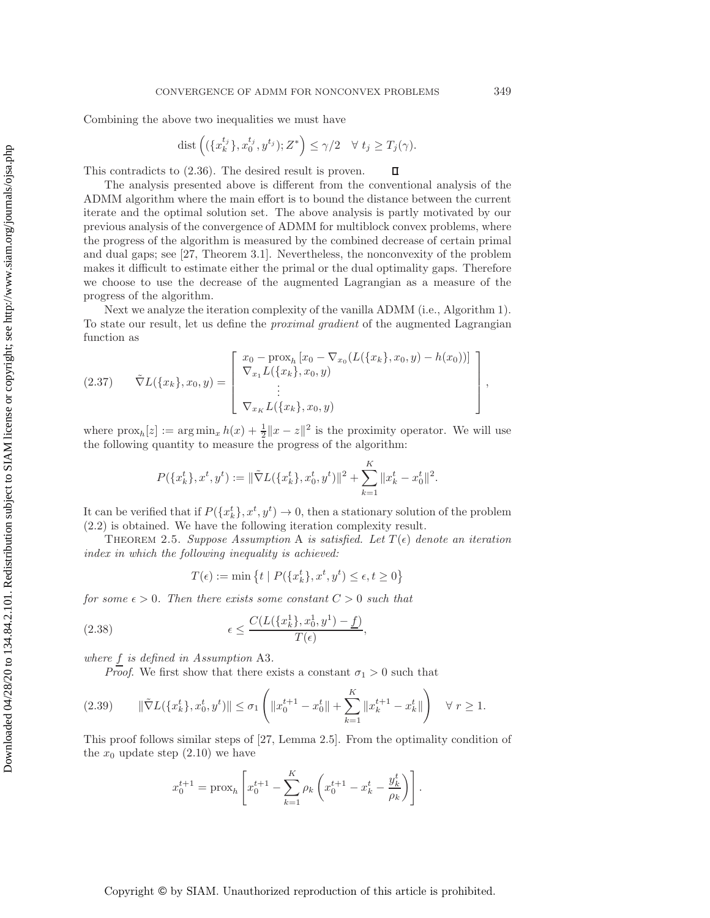Combining the above two inequalities we must have

$$
\text{dist}\left((\{x_k^{t_j}\}, x_0^{t_j}, y^{t_j}); Z^*\right) \le \gamma/2 \quad \forall \ t_j \ge T_j(\gamma).
$$

 $\Box$ 

This contradicts to [\(2.36\)](#page-11-1). The desired result is proven.

The analysis presented above is different from the conventional analysis of the ADMM algorithm where the main effort is to bound the distance between the current iterate and the optimal solution set. The above analysis is partly motivated by our previous analysis of the convergence of ADMM for multiblock convex problems, where the progress of the algorithm is measured by the combined decrease of certain primal and dual gaps; see [\[27,](#page-26-13) Theorem 3.1]. Nevertheless, the nonconvexity of the problem makes it difficult to estimate either the primal or the dual optimality gaps. Therefore we choose to use the decrease of the augmented Lagrangian as a measure of the progress of the algorithm.

Next we analyze the iteration complexity of the vanilla ADMM (i.e., Algorithm 1). To state our result, let us define the *proximal gradient* of the augmented Lagrangian function as

$$
(2.37) \quad \tilde{\nabla}L(\{x_k\}, x_0, y) = \begin{bmatrix} x_0 - \text{prox}_{h}[x_0 - \nabla_{x_0}(L(\{x_k\}, x_0, y) - h(x_0))] \\ \nabla_{x_1}L(\{x_k\}, x_0, y) \\ \n\vdots \\ \nabla_{x_K}L(\{x_k\}, x_0, y) \end{bmatrix},
$$

where  $\text{prox}_{h}[z] := \arg \min_{x} h(x) + \frac{1}{2} ||x - z||^2$  is the proximity operator. We will use the following quantity to measure the progress of the algorithm:

$$
P(\{x_k^t\}, x^t, y^t) := \|\tilde{\nabla}L(\{x_k^t\}, x_0^t, y^t)\|^2 + \sum_{k=1}^K \|x_k^t - x_0^t\|^2.
$$

It can be verified that if  $P({x_k^t}, x^t, y^t) \to 0$ , then a stationary solution of the problem (2.2) is obtained. We have the following iteration complexity result [\(2.2\)](#page-2-1) is obtained. We have the following iteration complexity result.

THEOREM 2.5. *Suppose Assumption* A *is satisfied. Let*  $T(\epsilon)$  *denote an iteration index in which the following inequality is achieved:*

$$
T(\epsilon) := \min \left\{ t \mid P(\{x_k^t\}, x^t, y^t) \le \epsilon, t \ge 0 \right\}
$$

*for some*  $\epsilon > 0$ *. Then there exists some constant*  $C > 0$  *such that* 

(2.38) 
$$
\epsilon \leq \frac{C(L(\lbrace x_k^1 \rbrace, x_0^1, y^1) - \underline{f})}{T(\epsilon)},
$$

*where* <sup>f</sup> *is defined in Assumption* A3*.*

*Proof.* We first show that there exists a constant  $\sigma_1 > 0$  such that

<span id="page-12-0"></span>
$$
(2.39) \qquad \|\tilde{\nabla}L(\{x_k^t\}, x_0^t, y^t)\| \le \sigma_1 \left( \|x_0^{t+1} - x_0^t\| + \sum_{k=1}^K \|x_k^{t+1} - x_k^t\| \right) \quad \forall \ r \ge 1.
$$

This proof follows similar steps of [\[27,](#page-26-13) Lemma 2.5]. From the optimality condition of the  $x_0$  update step  $(2.10)$  we have

$$
x_0^{t+1} = \text{prox}_h \left[ x_0^{t+1} - \sum_{k=1}^K \rho_k \left( x_0^{t+1} - x_k^t - \frac{y_k^t}{\rho_k} \right) \right].
$$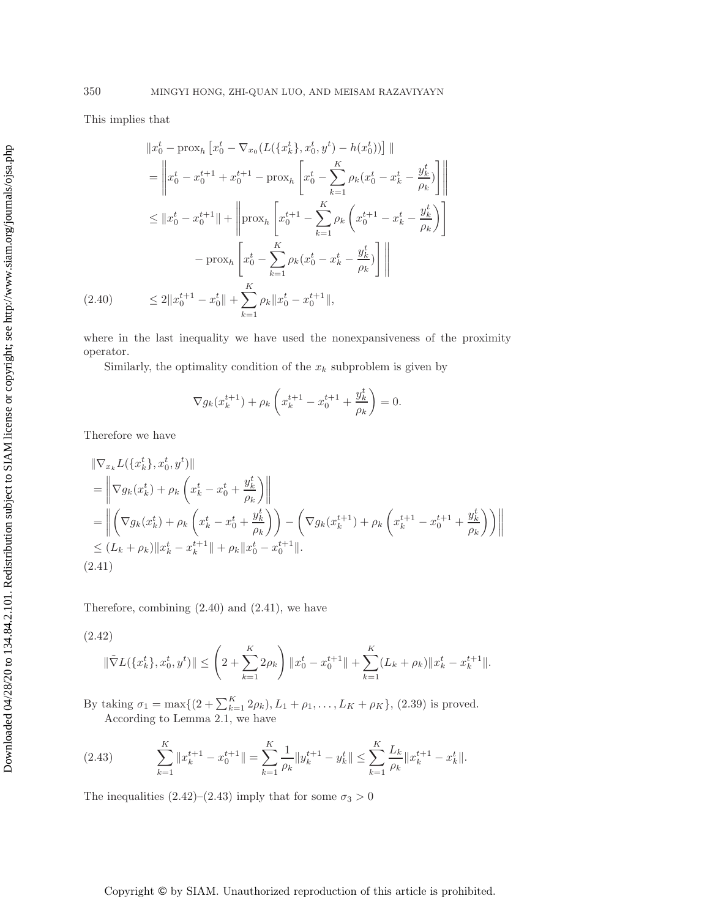This implies that

$$
\|x_0^t - \text{prox}_h \left[x_0^t - \nabla_{x_0}(L(\{x_k^t\}, x_0^t, y^t) - h(x_0^t))\right] \|
$$
  
\n
$$
= \left\|x_0^t - x_0^{t+1} + x_0^{t+1} - \text{prox}_h \left[x_0^t - \sum_{k=1}^K \rho_k (x_0^t - x_k^t - \frac{y_k^t}{\rho_k})\right]\right\|
$$
  
\n
$$
\leq \|x_0^t - x_0^{t+1}\| + \left\| \text{prox}_h \left[x_0^{t+1} - \sum_{k=1}^K \rho_k \left(x_0^{t+1} - x_k^t - \frac{y_k^t}{\rho_k}\right)\right]\right\|
$$
  
\n
$$
- \text{prox}_h \left[x_0^t - \sum_{k=1}^K \rho_k (x_0^t - x_k^t - \frac{y_k^t}{\rho_k})\right] \|
$$
  
\n(2.40) 
$$
\leq 2\|x_0^{t+1} - x_0^t\| + \sum_{k=1}^K \rho_k \|x_0^t - x_0^{t+1}\|,
$$

<span id="page-13-0"></span>where in the last inequality we have used the nonexpansiveness of the proximity operator.

Similarly, the optimality condition of the  $x_k$  subproblem is given by

$$
\nabla g_k(x_k^{t+1}) + \rho_k \left( x_k^{t+1} - x_0^{t+1} + \frac{y_k^t}{\rho_k} \right) = 0.
$$

Therefore we have

$$
\|\nabla_{x_k} L(\{x_k^t\}, x_0^t, y^t)\|
$$
\n
$$
= \left\|\nabla g_k(x_k^t) + \rho_k \left(x_k^t - x_0^t + \frac{y_k^t}{\rho_k}\right)\right\|
$$
\n
$$
= \left\|\left(\nabla g_k(x_k^t) + \rho_k \left(x_k^t - x_0^t + \frac{y_k^t}{\rho_k}\right)\right) - \left(\nabla g_k(x_k^{t+1}) + \rho_k \left(x_k^{t+1} - x_0^{t+1} + \frac{y_k^t}{\rho_k}\right)\right)\right\|
$$
\n
$$
\leq (L_k + \rho_k) \|x_k^t - x_k^{t+1}\| + \rho_k \|x_0^t - x_0^{t+1}\|.
$$
\n(2.41)

<span id="page-13-1"></span>Therefore, combining [\(2.40\)](#page-13-0) and [\(2.41\)](#page-13-1), we have

<span id="page-13-2"></span>(2.42)

$$
\|\tilde{\nabla}L(\{x_k^t\}, x_0^t, y^t)\| \le \left(2 + \sum_{k=1}^K 2\rho_k\right) \|x_0^t - x_0^{t+1}\| + \sum_{k=1}^K (L_k + \rho_k) \|x_k^t - x_k^{t+1}\|.
$$

By taking  $\sigma_1 = \max\{(2 + \sum_{k=1}^n 2\rho_k), L_1 + \rho_1, \ldots, L_K + \rho_K\}, (2.39)$  $\sigma_1 = \max\{(2 + \sum_{k=1}^n 2\rho_k), L_1 + \rho_1, \ldots, L_K + \rho_K\}, (2.39)$  is proved.<br>According to Lemma [2.1,](#page-5-1) we have

<span id="page-13-3"></span>(2.43) 
$$
\sum_{k=1}^{K} \|x_k^{t+1} - x_0^{t+1}\| = \sum_{k=1}^{K} \frac{1}{\rho_k} \|y_k^{t+1} - y_k^t\| \le \sum_{k=1}^{K} \frac{L_k}{\rho_k} \|x_k^{t+1} - x_k^t\|.
$$

The inequalities  $(2.42)$ – $(2.43)$  imply that for some  $\sigma_3 > 0$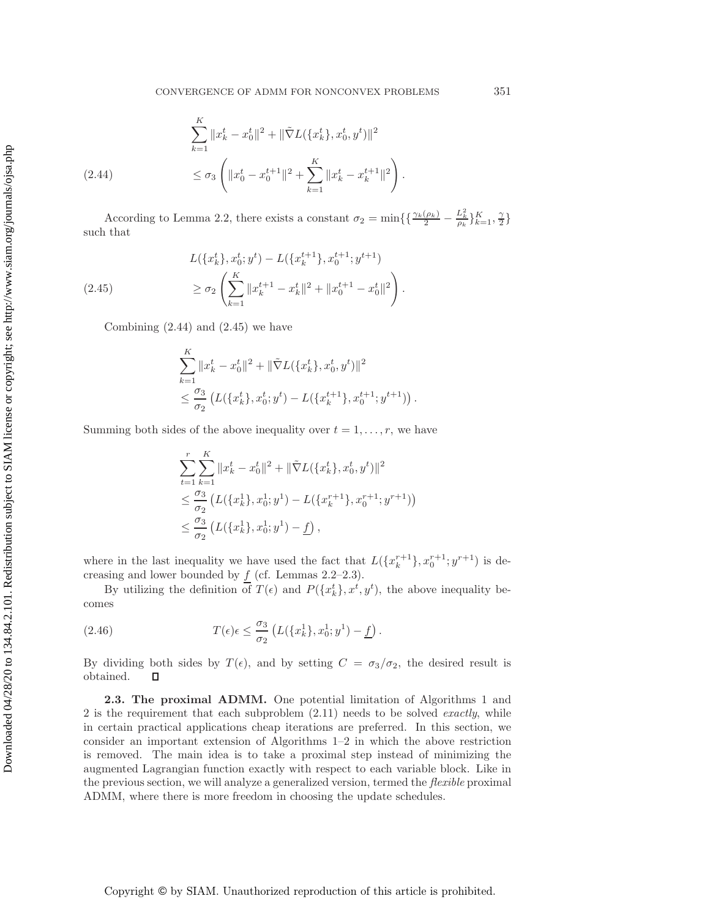$$
\sum_{k=1}^{K} \|x_k^t - x_0^t\|^2 + \|\tilde{\nabla}L(\{x_k^t\}, x_0^t, y^t)\|^2
$$
\n
$$
\leq \sigma_3 \left( \|x_0^t - x_0^{t+1}\|^2 + \sum_{k=1}^{K} \|x_k^t - x_k^{t+1}\|^2 \right).
$$

<span id="page-14-0"></span>According to Lemma [2.2,](#page-6-4) there exists a constant  $\sigma_2 = \min\left\{\left\{\frac{\gamma_k(\rho_k)}{2} - \frac{L_k^2}{\rho_k}\right\}_{k=1}^K, \frac{\gamma}{2}\right\}$ such that

<span id="page-14-1"></span>
$$
L(\{x_k^t\}, x_0^t; y^t) - L(\{x_k^{t+1}\}, x_0^{t+1}; y^{t+1})
$$
  
(2.45) 
$$
\geq \sigma_2 \left( \sum_{k=1}^K \|x_k^{t+1} - x_k^t\|^2 + \|x_0^{t+1} - x_0^t\|^2 \right).
$$

Combining  $(2.44)$  and  $(2.45)$  we have

$$
\sum_{k=1}^{K} ||x_k^t - x_0^t||^2 + ||\tilde{\nabla}L(\{x_k^t\}, x_0^t, y^t)||^2
$$
  

$$
\leq \frac{\sigma_3}{\sigma_2} \left( L(\{x_k^t\}, x_0^t; y^t) - L(\{x_k^{t+1}\}, x_0^{t+1}; y^{t+1})) \right)
$$

Summing both sides of the above inequality over  $t = 1, \ldots, r$ , we have

$$
\sum_{t=1}^{r} \sum_{k=1}^{K} ||x_{k}^{t} - x_{0}^{t}||^{2} + ||\tilde{\nabla}L(\{x_{k}^{t}\}, x_{0}^{t}, y^{t})||^{2}
$$
  
\n
$$
\leq \frac{\sigma_{3}}{\sigma_{2}} \left( L(\{x_{k}^{1}\}, x_{0}^{1}; y^{1}) - L(\{x_{k}^{r+1}\}, x_{0}^{r+1}; y^{r+1}) \right)
$$
  
\n
$$
\leq \frac{\sigma_{3}}{\sigma_{2}} \left( L(\{x_{k}^{1}\}, x_{0}^{1}; y^{1}) - \underline{f} \right),
$$

where in the last inequality we have used the fact that  $L({x_k^{r+1}}, {x_0^{r+1}}; y^{r+1})$  is decreasing and lower bounded by  $f$  (cf. Lemmas 2.2–2.3) creasing and lower bounded by  $f$  (cf. Lemmas [2.2](#page-6-4)[–2.3\)](#page-7-2).

By utilizing the definition of  $T(\epsilon)$  and  $P({x_k^t}, x^t, y^t)$ , the above inequality becomes

(2.46) 
$$
T(\epsilon) \epsilon \leq \frac{\sigma_3}{\sigma_2} \left( L(\{x_k^1\}, x_0^1; y^1) - \underline{f} \right).
$$

By dividing both sides by  $T(\epsilon)$ , and by setting  $C = \sigma_3/\sigma_2$ , the desired result is obtained.  $\Box$ obtained.

<span id="page-14-2"></span>**2.3. The proximal ADMM.** One potential limitation of Algorithms 1 and 2 is the requirement that each subproblem [\(2.11\)](#page-4-0) needs to be solved *exactly*, while in certain practical applications cheap iterations are preferred. In this section, we consider an important extension of Algorithms 1–2 in which the above restriction is removed. The main idea is to take a proximal step instead of minimizing the augmented Lagrangian function exactly with respect to each variable block. Like in the previous section, we will analyze a generalized version, termed the *flexible* proximal ADMM, where there is more freedom in choosing the update schedules.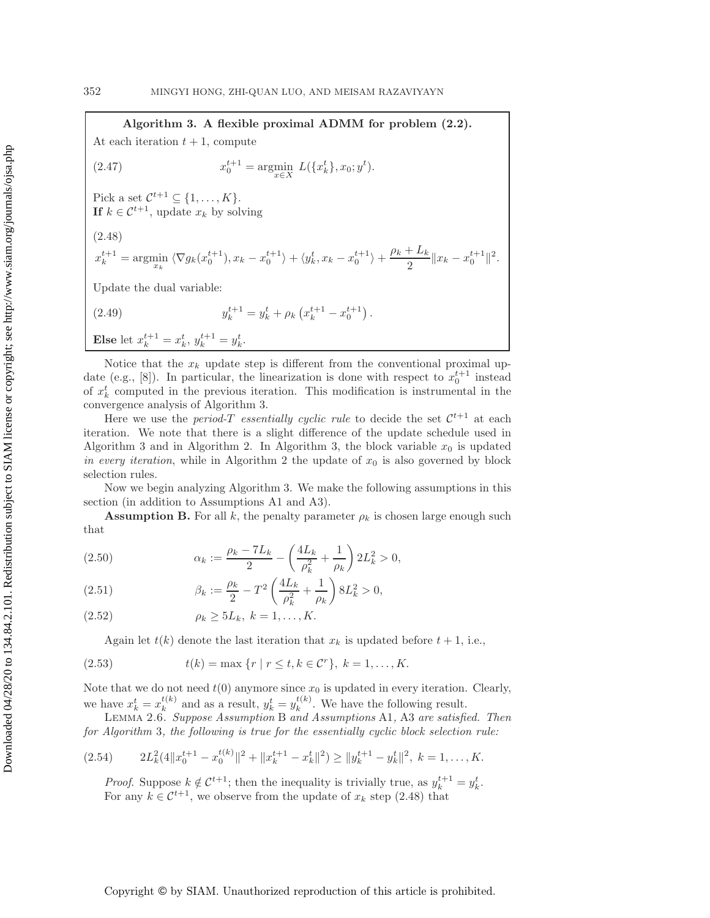## **Algorithm 3. A flexible proximal ADMM for problem [\(2.2\)](#page-2-1).**

At each iteration  $t + 1$ , compute

(2.47) 
$$
x_0^{t+1} = \underset{x \in X}{\text{argmin}} L(\{x_k^t\}, x_0; y^t).
$$

Pick a set  $\mathcal{C}^{t+1} \subseteq \{1,\ldots,K\}$ .<br> **If**  $k \in \mathcal{C}^{t+1}$  undate  $x_i$  by sol **If**  $k \in \mathcal{C}^{t+1}$ , update  $x_k$  by solving

<span id="page-15-0"></span>(2.48)

$$
x_k^{t+1} = \operatorname*{argmin}_{x_k} \langle \nabla g_k(x_0^{t+1}), x_k - x_0^{t+1} \rangle + \langle y_k^t, x_k - x_0^{t+1} \rangle + \frac{\rho_k + L_k}{2} \| x_k - x_0^{t+1} \|^2.
$$

Update the dual variable:

(2.49) 
$$
y_k^{t+1} = y_k^t + \rho_k \left( x_k^{t+1} - x_0^{t+1} \right).
$$

**Else** let 
$$
x_k^{t+1} = x_k^t
$$
,  $y_k^{t+1} = y_k^t$ .

Notice that the  $x_k$  update step is different from the conventional proximal up-date (e.g., [\[8\]](#page-25-6)). In particular, the linearization is done with respect to  $x_0^{t+1}$  instead<br>of  $x^t$  computed in the previous iteration. This modification is instrumental in the of  $x_k^t$  computed in the previous iteration. This modification is instrumental in the convergence analysis of Algorithm 3 convergence analysis of Algorithm 3.

Here we use the *period-T* essentially cyclic rule to decide the set  $\mathcal{C}^{t+1}$  at each iteration. We note that there is a slight difference of the update schedule used in Algorithm 3 and in Algorithm 2. In Algorithm 3, the block variable  $x_0$  is updated *in every iteration*, while in Algorithm 2 the update of  $x_0$  is also governed by block selection rules.

Now we begin analyzing Algorithm 3. We make the following assumptions in this section (in addition to Assumptions A1 and A3).

**Assumption B.** For all k, the penalty parameter  $\rho_k$  is chosen large enough such that

<span id="page-15-1"></span>(2.50) 
$$
\alpha_k := \frac{\rho_k - 7L_k}{2} - \left(\frac{4L_k}{\rho_k^2} + \frac{1}{\rho_k}\right)2L_k^2 > 0,
$$

<span id="page-15-2"></span>(2.51) 
$$
\beta_k := \frac{\rho_k}{2} - T^2 \left( \frac{4L_k}{\rho_k^2} + \frac{1}{\rho_k} \right) 8L_k^2 > 0,
$$

$$
(2.52) \qquad \qquad \rho_k \ge 5L_k, \ k = 1, \ldots, K.
$$

<span id="page-15-4"></span>Again let  $t(k)$  denote the last iteration that  $x_k$  is updated before  $t + 1$ , i.e.,

(2.53) 
$$
t(k) = \max \{r \mid r \le t, k \in \mathcal{C}^r\}, k = 1, ..., K.
$$

Note that we do not need  $t(0)$  anymore since  $x_0$  is updated in every iteration. Clearly, we have  $x_k^t = x_k^{t(k)}$  and as a result,  $y_k^t = y_k^{t(k)}$ . We have the following result.<br>LEMMA 2.6. *Suppose Assumption* B *and Assumptions* A1, A3 *are satisfied. Then* 

*for Algorithm* 3*, the following is true for the essentially cyclic block selection rule:*

<span id="page-15-3"></span>
$$
(2.54) \t2L_k^2(4||x_0^{t+1} - x_0^{t(k)}||^2 + ||x_k^{t+1} - x_k^t||^2) \ge ||y_k^{t+1} - y_k^t||^2, \ k = 1, \dots, K.
$$

*Proof.* Suppose  $k \notin \mathcal{C}^{t+1}$ ; then the inequality is trivially true, as  $y_k^{t+1} = y_k^t$ .<br>For any  $k \in \mathcal{C}^{t+1}$  we observe from the undate of x, step (2.48) that For any  $k \in \mathcal{C}^{t+1}$ , we observe from the update of  $x_k$  step [\(2.48\)](#page-15-0) that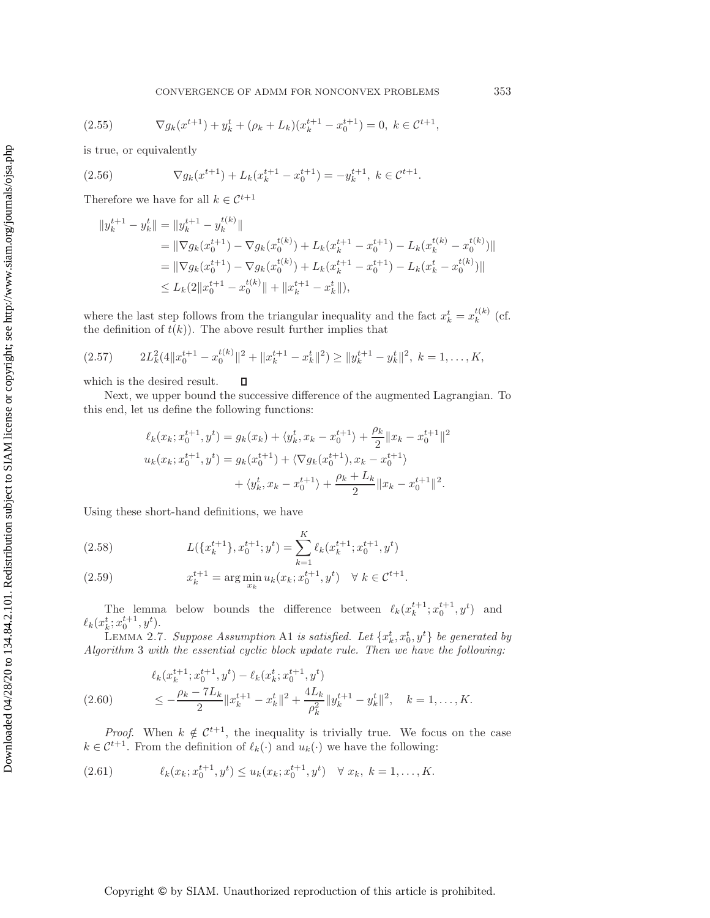(2.55) 
$$
\nabla g_k(x^{t+1}) + y_k^t + (\rho_k + L_k)(x_k^{t+1} - x_0^{t+1}) = 0, \ k \in \mathcal{C}^{t+1},
$$

is true, or equivalently

<span id="page-16-3"></span>(2.56) 
$$
\nabla g_k(x^{t+1}) + L_k(x_k^{t+1} - x_0^{t+1}) = -y_k^{t+1}, \ k \in \mathcal{C}^{t+1}.
$$

Therefore we have for all  $k \in \mathcal{C}^{t+1}$ 

$$
||y_k^{t+1} - y_k^t|| = ||y_k^{t+1} - y_k^{t(k)}||
$$
  
\n
$$
= ||\nabla g_k(x_0^{t+1}) - \nabla g_k(x_0^{t(k)}) + L_k(x_k^{t+1} - x_0^{t+1}) - L_k(x_k^{t(k)} - x_0^{t(k)})||
$$
  
\n
$$
= ||\nabla g_k(x_0^{t+1}) - \nabla g_k(x_0^{t(k)}) + L_k(x_k^{t+1} - x_0^{t+1}) - L_k(x_k^{t} - x_0^{t(k)})||
$$
  
\n
$$
\leq L_k(2||x_0^{t+1} - x_0^{t(k)}|| + ||x_k^{t+1} - x_k^{t}||),
$$

where the last step follows from the triangular inequality and the fact  $x_k^t = x_k^{t(k)}$  (cf.<br>the definition of  $t(k)$ ). The above result further implies that the definition of  $t(k)$ ). The above result further implies that

$$
(2.57) \t2L_k^2(4||x_0^{t+1} - x_0^{t(k)}||^2 + ||x_k^{t+1} - x_k^t||^2) \ge ||y_k^{t+1} - y_k^t||^2, \ k = 1, ..., K,
$$

which is the desired result.  $\Box$ 

Next, we upper bound the successive difference of the augmented Lagrangian. To this end, let us define the following functions:

$$
\ell_k(x_k; x_0^{t+1}, y^t) = g_k(x_k) + \langle y_k^t, x_k - x_0^{t+1} \rangle + \frac{\rho_k}{2} \| x_k - x_0^{t+1} \|^2
$$
  

$$
u_k(x_k; x_0^{t+1}, y^t) = g_k(x_0^{t+1}) + \langle \nabla g_k(x_0^{t+1}), x_k - x_0^{t+1} \rangle
$$
  

$$
+ \langle y_k^t, x_k - x_0^{t+1} \rangle + \frac{\rho_k + L_k}{2} \| x_k - x_0^{t+1} \|^2.
$$

Using these short-hand definitions, we have

(2.58) 
$$
L(\lbrace x_k^{t+1} \rbrace, x_0^{t+1}; y^t) = \sum_{k=1}^K \ell_k(x_k^{t+1}; x_0^{t+1}, y^t)
$$

<span id="page-16-0"></span>(2.59) 
$$
x_k^{t+1} = \arg\min_{x_k} u_k(x_k; x_0^{t+1}, y^t) \quad \forall \ k \in \mathcal{C}^{t+1}.
$$

<span id="page-16-2"></span>The lemma below bounds the difference between  $\ell_k(x_k^{t+1}; x_0^{t+1}, y^t)$  and  $t \cdot x_{k+1}^{t+1}$  $\ell_k(x_k^t; x_0^{t+1}, y^t).$ <br>LEMMA 2.7

LEMMA 2.7. *Suppose Assumption* A1 *is satisfied. Let*  $\{x_k^t, x_0^t, y^t\}$  *be generated by*<br>prition 3 with the essential cyclic block undate rule. Then we have the following: **EEMMA 2.1.** Suppose Assumption A1 is suisfied. Let  $\{x_k^*, x_0, y^*\}$  be generated a<br>Algorithm 3 with the essential cyclic block update rule. Then we have the following:

$$
\ell_k(x_k^{t+1}; x_0^{t+1}, y^t) - \ell_k(x_k^t; x_0^{t+1}, y^t)
$$
  
(2.60) 
$$
\leq -\frac{\rho_k - 7L_k}{2} \|x_k^{t+1} - x_k^t\|^2 + \frac{4L_k}{\rho_k^2} \|y_k^{t+1} - y_k^t\|^2, \quad k = 1, ..., K.
$$

*Proof.* When  $k \notin C^{t+1}$ , the inequality is trivially true. We focus on the case  $k \in C^{t+1}$ . From the definition of  $\ell_k(\cdot)$  and  $u_k(\cdot)$  we have the following:

<span id="page-16-1"></span>k(xk; <sup>x</sup><sup>t</sup>+1 <sup>0</sup> , y<sup>t</sup> ) <sup>≤</sup> <sup>u</sup>k(xk; <sup>x</sup><sup>t</sup>+1 <sup>0</sup> , y<sup>t</sup> (2.61) ) <sup>∀</sup> <sup>x</sup>k, k = 1, . . . , K.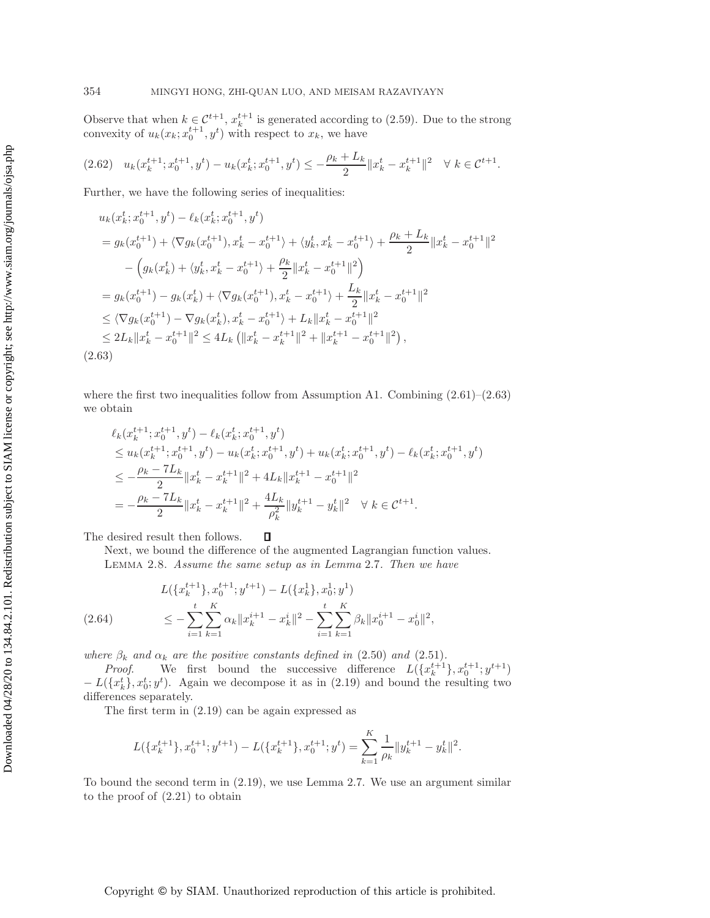Observe that when  $k \in C^{t+1}$ ,  $x_k^{t+1}$  is generated according to [\(2.59\)](#page-16-0). Due to the strong<br>convexity of  $u_k(x_k; x_{k+1}^{t+1} | x_k^t)$  with respect to  $x_k$  we have convexity of  $u_k(x_k; x_0^{t+1}, y^t)$  with respect to  $x_k$ , we have

$$
(2.62) \quad u_k(x_k^{t+1}; x_0^{t+1}, y^t) - u_k(x_k^t; x_0^{t+1}, y^t) \le -\frac{\rho_k + L_k}{2} \|x_k^t - x_k^{t+1}\|^2 \quad \forall \ k \in \mathcal{C}^{t+1}.
$$

Further, we have the following series of inequalities:

$$
u_k(x_k^t; x_0^{t+1}, y^t) - \ell_k(x_k^t; x_0^{t+1}, y^t)
$$
  
\n
$$
= g_k(x_0^{t+1}) + \langle \nabla g_k(x_0^{t+1}), x_k^t - x_0^{t+1} \rangle + \langle y_k^t, x_k^t - x_0^{t+1} \rangle + \frac{\rho_k + L_k}{2} ||x_k^t - x_0^{t+1}||^2
$$
  
\n
$$
- \left( g_k(x_k^t) + \langle y_k^t, x_k^t - x_0^{t+1} \rangle + \frac{\rho_k}{2} ||x_k^t - x_0^{t+1}||^2 \right)
$$
  
\n
$$
= g_k(x_0^{t+1}) - g_k(x_k^t) + \langle \nabla g_k(x_0^{t+1}), x_k^t - x_0^{t+1} \rangle + \frac{L_k}{2} ||x_k^t - x_0^{t+1}||^2
$$
  
\n
$$
\leq \langle \nabla g_k(x_0^{t+1}) - \nabla g_k(x_k^t), x_k^t - x_0^{t+1} \rangle + L_k ||x_k^t - x_0^{t+1}||^2
$$
  
\n
$$
\leq 2L_k ||x_k^t - x_0^{t+1}||^2 \leq 4L_k (||x_k^t - x_k^{t+1}||^2 + ||x_k^{t+1} - x_0^{t+1}||^2),
$$
  
\n(2.63)

<span id="page-17-0"></span>where the first two inequalities follow from Assumption A1. Combining  $(2.61)$ – $(2.63)$ we obtain

$$
\ell_k(x_k^{t+1}; x_0^{t+1}, y^t) - \ell_k(x_k^t; x_0^{t+1}, y^t)
$$
\n
$$
\leq u_k(x_k^{t+1}; x_0^{t+1}, y^t) - u_k(x_k^t; x_0^{t+1}, y^t) + u_k(x_k^t; x_0^{t+1}, y^t) - \ell_k(x_k^t; x_0^{t+1}, y^t)
$$
\n
$$
\leq -\frac{\rho_k - 7L_k}{2} \|x_k^t - x_k^{t+1}\|^2 + 4L_k \|x_k^{t+1} - x_0^{t+1}\|^2
$$
\n
$$
= -\frac{\rho_k - 7L_k}{2} \|x_k^t - x_k^{t+1}\|^2 + \frac{4L_k}{\rho_k^2} \|y_k^{t+1} - y_k^t\|^2 \quad \forall \ k \in \mathcal{C}^{t+1}.
$$

 $\Box$ The desired result then follows.

<span id="page-17-2"></span>Next, we bound the difference of the augmented Lagrangian function values. Lemma 2.8. *Assume the same setup as in Lemma* [2.7](#page-16-2)*. Then we have*

<span id="page-17-1"></span>
$$
L(\{x_k^{t+1}\}, x_0^{t+1}; y^{t+1}) - L(\{x_k^1\}, x_0^1; y^1)
$$
  
(2.64) 
$$
\leq -\sum_{i=1}^t \sum_{k=1}^K \alpha_k \|x_k^{i+1} - x_k^i\|^2 - \sum_{i=1}^t \sum_{k=1}^K \beta_k \|x_0^{i+1} - x_0^i\|^2,
$$

*where*  $\beta_k$  *and*  $\alpha_k$  *are the positive constants defined in* [\(2.50\)](#page-15-1) *and* [\(2.51\)](#page-15-2)*. Proof.* We first bound the successive difference  $L({x_k^{t+1}})$ 

*Proof.* We first bound the successive difference  $L(\lbrace x_k^{t+1} \rbrace, x_0^{t+1}; y^{t+1})$  $-L({x_k^t}, {x_0^t}; y^t)$ . Again we decompose it as in [\(2.19\)](#page-6-0) and bound the resulting two differences separately differences separately.

The first term in [\(2.19\)](#page-6-0) can be again expressed as

$$
L(\{x_k^{t+1}\}, x_0^{t+1}; y^{t+1}) - L(\{x_k^{t+1}\}, x_0^{t+1}; y^t) = \sum_{k=1}^K \frac{1}{\rho_k} ||y_k^{t+1} - y_k^t||^2.
$$

To bound the second term in [\(2.19\)](#page-6-0), we use Lemma [2.7.](#page-16-2) We use an argument similar to the proof of [\(2.21\)](#page-7-0) to obtain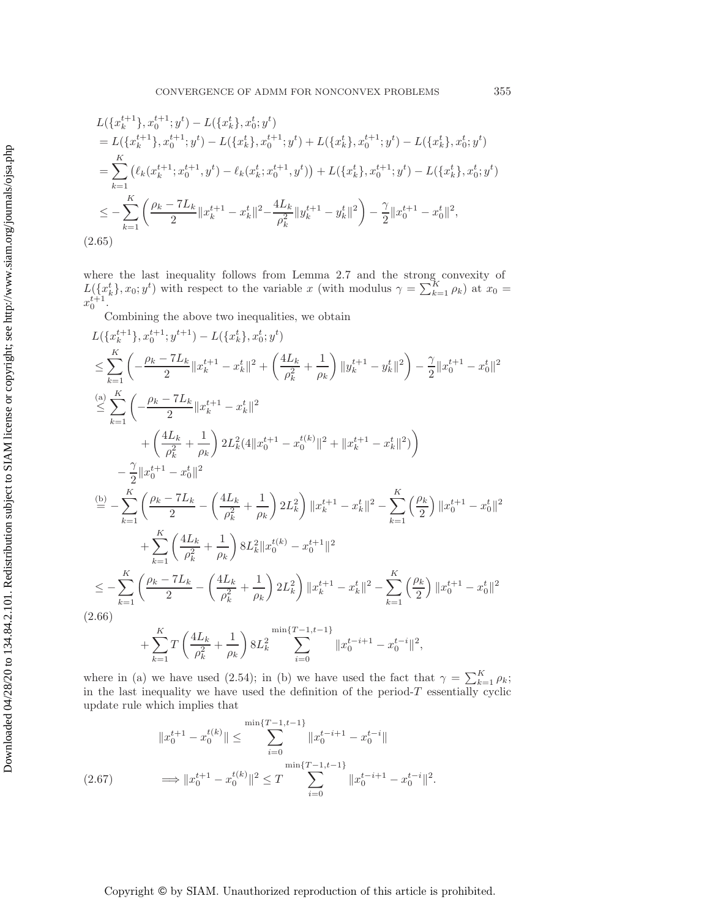$$
L(\lbrace x_k^{t+1} \rbrace, x_0^{t+1}; y^t) - L(\lbrace x_k^t \rbrace, x_0^t; y^t)
$$
  
\n
$$
= L(\lbrace x_k^{t+1} \rbrace, x_0^{t+1}; y^t) - L(\lbrace x_k^t \rbrace, x_0^{t+1}; y^t) + L(\lbrace x_k^t \rbrace, x_0^{t+1}; y^t) - L(\lbrace x_k^t \rbrace, x_0^t; y^t)
$$
  
\n
$$
= \sum_{k=1}^K (\ell_k(x_k^{t+1}; x_0^{t+1}, y^t) - \ell_k(x_k^t; x_0^{t+1}, y^t)) + L(\lbrace x_k^t \rbrace, x_0^{t+1}; y^t) - L(\lbrace x_k^t \rbrace, x_0^t; y^t)
$$
  
\n
$$
\leq - \sum_{k=1}^K \left( \frac{\rho_k - 7L_k}{2} ||x_k^{t+1} - x_k^t||^2 - \frac{4L_k}{\rho_k^2} ||y_k^{t+1} - y_k^t||^2 \right) - \frac{\gamma}{2} ||x_0^{t+1} - x_0^t||^2,
$$
  
\n(2.65)

where the last inequality follows from Lemma [2.7](#page-16-2) and the strong convexity of  $L({x_k^t}, x_0; y^t)$  with respect to the variable x (with modulus  $\gamma = \sum_{k=1}^{K} \rho_k$ ) at  $x_0 = x^{t+1}$  $x_0^{t+1}$ .

Combining the above two inequalities, we obtain

$$
L(\lbrace x_k^{t+1}\rbrace, x_0^{t+1}; y^{t+1}) - L(\lbrace x_k^t\rbrace, x_0^t; y^t)
$$
  
\n
$$
\leq \sum_{k=1}^K \left( -\frac{\rho_k - 7L_k}{2} \|x_k^{t+1} - x_k^t\|^2 + \left( \frac{4L_k}{\rho_k^2} + \frac{1}{\rho_k} \right) \|y_k^{t+1} - y_k^t\|^2 \right) - \frac{\gamma}{2} \|x_0^{t+1} - x_0^t\|^2
$$
  
\n
$$
\stackrel{(a)}{\leq} \sum_{k=1}^K \left( -\frac{\rho_k - 7L_k}{2} \|x_k^{t+1} - x_k^t\|^2 + \|x_k^{t+1} - x_0^{t(k)}\|^2 + \|x_k^{t+1} - x_k^t\|^2 \right)
$$
  
\n
$$
- \frac{\gamma}{2} \|x_0^{t+1} - x_0^t\|^2
$$
  
\n
$$
\stackrel{(b)}{=} - \sum_{k=1}^K \left( \frac{\rho_k - 7L_k}{2} - \left( \frac{4L_k}{\rho_k^2} + \frac{1}{\rho_k} \right) 2L_k^2 \right) \|x_k^{t+1} - x_k^t\|^2 - \sum_{k=1}^K \left( \frac{\rho_k}{2} \right) \|x_0^{t+1} - x_0^t\|^2
$$
  
\n
$$
+ \sum_{k=1}^K \left( \frac{4L_k}{\rho_k^2} + \frac{1}{\rho_k} \right) 8L_k^2 \|x_0^{t(k)} - x_0^{t+1}\|^2
$$
  
\n
$$
\leq - \sum_{k=1}^K \left( \frac{\rho_k - 7L_k}{2} - \left( \frac{4L_k}{\rho_k^2} + \frac{1}{\rho_k} \right) 2L_k^2 \right) \|x_k^{t+1} - x_k^t\|^2 - \sum_{k=1}^K \left( \frac{\rho_k}{2} \right) \|x_0^{t+1} - x_0^t\|^2
$$
  
\n(2.66)  
\n
$$
+ \sum_{k=1}^K T \left( \frac{4L_k}{\rho_k^2} + \frac{1}{\rho_k} \right) 8L_k^2 \sum_{i=0}^{\min\{T-1, t-1\
$$

<span id="page-18-0"></span> $i=0$ where in (a) we have used [\(2.54\)](#page-15-3); in (b) we have used the fact that  $\gamma = \sum_{k=1}^{K} \rho_k$ ;<br>in the last inequality we have used the definition of the period-T essentially cyclic in the last inequality we have used the definition of the period- $T$  essentially cyclic undate rule which implies that update rule which implies that

$$
||x_0^{t+1} - x_0^{t(k)}|| \le \sum_{i=0}^{\min\{T-1, t-1\}} ||x_0^{t-i+1} - x_0^{t-i}||
$$
  
(2.67) 
$$
\implies ||x_0^{t+1} - x_0^{t(k)}||^2 \le T \sum_{i=0}^{\min\{T-1, t-1\}} ||x_0^{t-i+1} - x_0^{t-i}||^2.
$$

 $\int$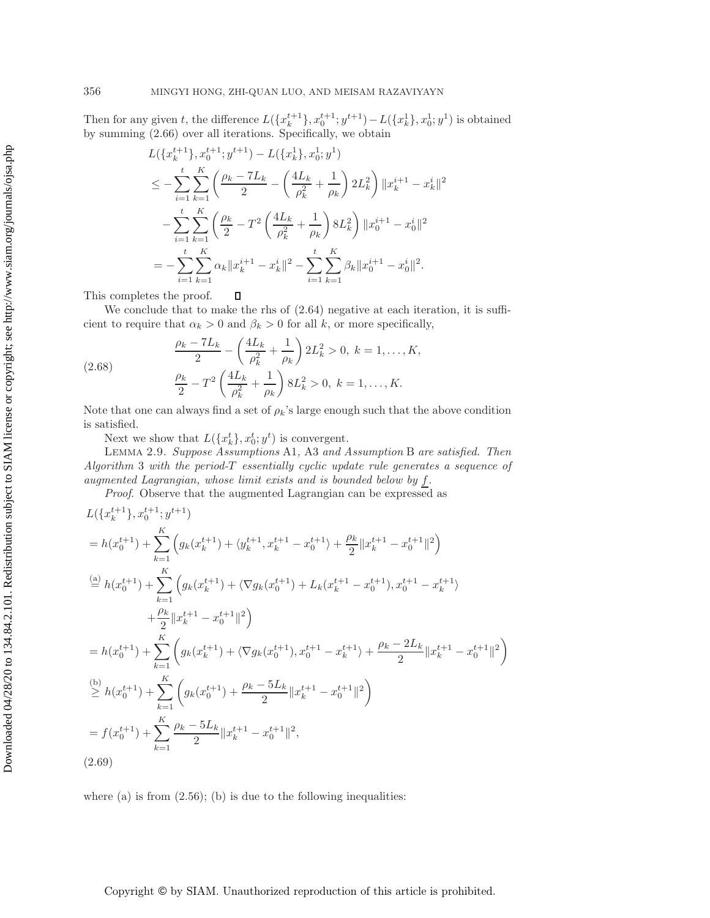Then for any given t, the difference  $L(\lbrace x_k^{t+1} \rbrace, x_0^{t+1}; y^{t+1}) - L(\lbrace x_k^1 \rbrace, x_0^1; y^1)$  is obtained<br>by summing (2.66) over all iterations. Specifically, we obtain by summing [\(2.66\)](#page-18-0) over all iterations. Specifically, we obtain

$$
L(\lbrace x_k^{t+1} \rbrace, x_0^{t+1}; y^{t+1}) - L(\lbrace x_k^1 \rbrace, x_0^1; y^1)
$$
  
\n
$$
\leq -\sum_{i=1}^t \sum_{k=1}^K \left( \frac{\rho_k - 7L_k}{2} - \left( \frac{4L_k}{\rho_k^2} + \frac{1}{\rho_k} \right) 2L_k^2 \right) ||x_k^{i+1} - x_k^i||^2
$$
  
\n
$$
- \sum_{i=1}^t \sum_{k=1}^K \left( \frac{\rho_k}{2} - T^2 \left( \frac{4L_k}{\rho_k^2} + \frac{1}{\rho_k} \right) 8L_k^2 \right) ||x_0^{i+1} - x_0^i||^2
$$
  
\n
$$
= -\sum_{i=1}^t \sum_{k=1}^K \alpha_k ||x_k^{i+1} - x_k^i||^2 - \sum_{i=1}^t \sum_{k=1}^K \beta_k ||x_0^{i+1} - x_0^i||^2.
$$

 $\Box$ This completes the proof.

We conclude that to make the rhs of  $(2.64)$  negative at each iteration, it is sufficient to require that  $\alpha_k > 0$  and  $\beta_k > 0$  for all k, or more specifically,

(2.68) 
$$
\frac{\rho_k - 7L_k}{2} - \left(\frac{4L_k}{\rho_k^2} + \frac{1}{\rho_k}\right) 2L_k^2 > 0, \ k = 1, ..., K,
$$

$$
\frac{\rho_k}{2} - T^2 \left(\frac{4L_k}{\rho_k^2} + \frac{1}{\rho_k}\right) 8L_k^2 > 0, \ k = 1, ..., K.
$$

Note that one can always find a set of  $\rho_k$ 's large enough such that the above condition is satisfied is satisfied.

<span id="page-19-1"></span>Next we show that  $L(\lbrace x_k^t \rbrace, x_0^t; y^t)$  is convergent.<br>LEMMA 2.9. Suppose Assumptions A1, A3 and A

Lemma 2.9. *Suppose Assumptions* A1*,* A3 *and Assumption* B *are satisfied. Then Algorithm* <sup>3</sup> *with the period-*T *essentially cyclic update rule generates a sequence of augmented Lagrangian, whose limit exists and is bounded below by* f*.*

*Proof*. Observe that the augmented Lagrangian can be expressed as

$$
L({x_k^{t+1}}), x_0^{t+1}; y^{t+1})
$$
  
\n
$$
= h(x_0^{t+1}) + \sum_{k=1}^K \left( g_k(x_k^{t+1}) + \langle y_k^{t+1}, x_k^{t+1} - x_0^{t+1} \rangle + \frac{\rho_k}{2} \| x_k^{t+1} - x_0^{t+1} \|^2 \right)
$$
  
\n
$$
\stackrel{\text{(a)}}{=} h(x_0^{t+1}) + \sum_{k=1}^K \left( g_k(x_k^{t+1}) + \langle \nabla g_k(x_0^{t+1}) + L_k(x_k^{t+1} - x_0^{t+1}), x_0^{t+1} - x_k^{t+1} \rangle + \frac{\rho_k}{2} \| x_k^{t+1} - x_0^{t+1} \|^2 \right)
$$
  
\n
$$
= h(x_0^{t+1}) + \sum_{k=1}^K \left( g_k(x_k^{t+1}) + \langle \nabla g_k(x_0^{t+1}), x_0^{t+1} - x_k^{t+1} \rangle + \frac{\rho_k - 2L_k}{2} \| x_k^{t+1} - x_0^{t+1} \|^2 \right)
$$
  
\n
$$
\stackrel{\text{(b)}}{\geq} h(x_0^{t+1}) + \sum_{k=1}^K \left( g_k(x_0^{t+1}) + \frac{\rho_k - 5L_k}{2} \| x_k^{t+1} - x_0^{t+1} \|^2 \right)
$$
  
\n
$$
= f(x_0^{t+1}) + \sum_{k=1}^K \frac{\rho_k - 5L_k}{2} \| x_k^{t+1} - x_0^{t+1} \|^2,
$$
  
\n(3.60)

<span id="page-19-0"></span>(2.69)

where  $(a)$  is from  $(2.56)$ ;  $(b)$  is due to the following inequalities: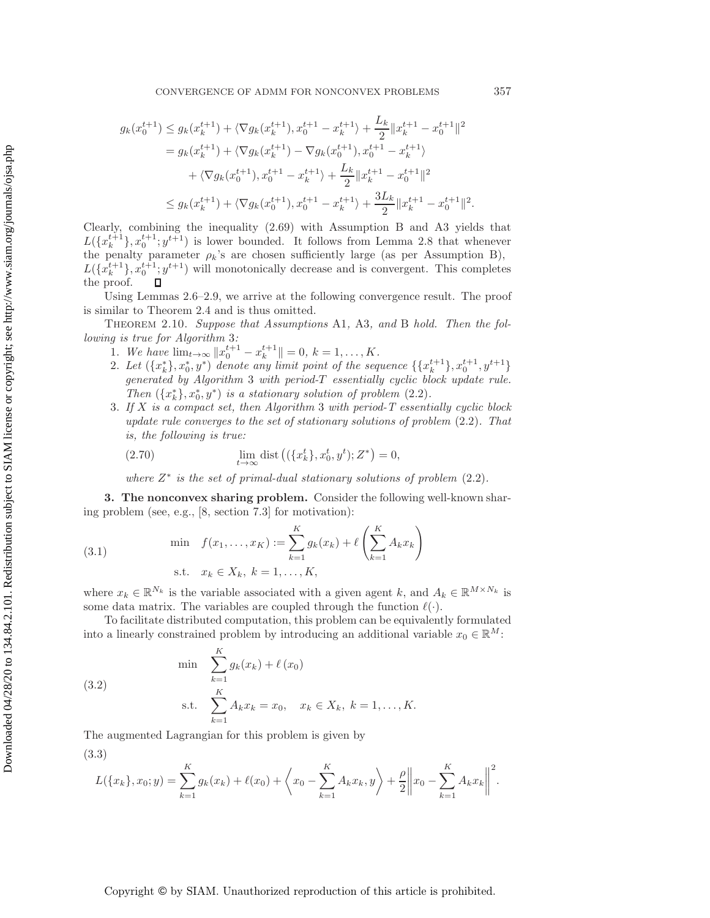$$
g_k(x_0^{t+1}) \le g_k(x_k^{t+1}) + \langle \nabla g_k(x_k^{t+1}), x_0^{t+1} - x_k^{t+1} \rangle + \frac{L_k}{2} ||x_k^{t+1} - x_0^{t+1}||^2
$$
  
\n
$$
= g_k(x_k^{t+1}) + \langle \nabla g_k(x_k^{t+1}) - \nabla g_k(x_0^{t+1}), x_0^{t+1} - x_k^{t+1} \rangle
$$
  
\n
$$
+ \langle \nabla g_k(x_0^{t+1}), x_0^{t+1} - x_k^{t+1} \rangle + \frac{L_k}{2} ||x_k^{t+1} - x_0^{t+1}||^2
$$
  
\n
$$
\le g_k(x_k^{t+1}) + \langle \nabla g_k(x_0^{t+1}), x_0^{t+1} - x_k^{t+1} \rangle + \frac{3L_k}{2} ||x_k^{t+1} - x_0^{t+1}||^2.
$$

Clearly, combining the inequality [\(2.69\)](#page-19-0) with Assumption B and A3 yields that  $L({x_k^{t+1}}), {x_0^{t+1}}; y^{t+1})$  is lower bounded. It follows from Lemma [2.8](#page-17-2) that whenever<br>the penalty parameter  $\alpha$ 's are chosen sufficiently large (as per Assumption B) the penalty parameter  $\rho_k$ 's are chosen sufficiently large (as per Assumption B),  $L({x_k^{t+1}})$ ,  $x_0^{t+1}$ ;  $y^{t+1}$ ) will monotonically decrease and is convergent. This completes the proof the proof.

Using Lemmas [2.6–](#page-15-4)[2.9,](#page-19-1) we arrive at the following convergence result. The proof is similar to Theorem [2.4](#page-8-1) and is thus omitted.

Theorem 2.10. *Suppose that Assumptions* A1*,* A3*, and* B *hold. Then the following is true for Algorithm* 3*:*

- 1. We have  $\lim_{t\to\infty} ||x_0^{t+1} x_k^{t+1}|| = 0, k = 1, ..., K$ .<br>2. Let  $(x^{*1}, x^{*}, y^{*})$  denote any limit point of the seq
- 2. Let  $({x<sub>k</sub><sup>*</sup>}, x<sub>0</sub><sup>*</sup>, y<sup>*</sup>)$  denote any limit point of the sequence  $({x<sub>k</sub><sup>t+1</sup>}, x<sub>0</sub><sup>t+1</sup>, y<sub>t+1</sub>}$ *generated by Algorithm* <sup>3</sup> *with period-*T *essentially cyclic block update rule. Then*  $({x<sub>k</sub><sup>*</sup>}, x<sub>0</sub><sup>*</sup>, y<sup>*</sup>)$  *is a stationary solution of problem* [\(2.2\)](#page-2-1)*.*<br>*If X is a commact set then Algorithm 3 with period-T essents*
- 3. *If* X *is a compact set, then Algorithm* <sup>3</sup> *with period-T essentially cyclic block update rule converges to the set of stationary solutions of problem* [\(2.2\)](#page-2-1)*. That is, the following is true:*

(2.70) 
$$
\lim_{t \to \infty} \text{dist}\left( (\{x_k^t\}, x_0^t, y^t); Z^* \right) = 0,
$$

*where* Z<sup>∗</sup> *is the set of primal-dual stationary solutions of problem* [\(2.2\)](#page-2-1)*.*

**3. The nonconvex sharing problem.** Consider the following well-known sharing problem (see, e.g., [\[8,](#page-25-6) section 7.3] for motivation):

(3.1) 
$$
\min f(x_1, ..., x_K) := \sum_{k=1}^{K} g_k(x_k) + \ell \left( \sum_{k=1}^{K} A_k x_k \right)
$$
  
s.t.  $x_k \in X_k, k = 1, ..., K,$ 

where  $x_k \in \mathbb{R}^{N_k}$  is the variable associated with a given agent k, and  $A_k \in \mathbb{R}^{M \times N_k}$  is some data matrix. The variables are coupled through the function  $\ell(.)$ some data matrix. The variables are coupled through the function  $\ell(\cdot)$ .<br>To facilitate distributed computation, this problem can be equivalent

To facilitate distributed computation, this problem can be equivalently formulated into a linearly constrained problem by introducing an additional variable  $x_0 \in \mathbb{R}^M$ :

<span id="page-20-0"></span>(3.2) 
$$
\min \sum_{k=1}^{K} g_k(x_k) + \ell(x_0)
$$
  
 s.t. 
$$
\sum_{k=1}^{K} A_k x_k = x_0, \quad x_k \in X_k, \ k = 1, ..., K.
$$

The augmented Lagrangian for this problem is given by

(3.3)

$$
L({x_k}, x_0; y) = \sum_{k=1}^K g_k(x_k) + \ell(x_0) + \left\langle x_0 - \sum_{k=1}^K A_k x_k, y \right\rangle + \frac{\rho}{2} \|x_0 - \sum_{k=1}^K A_k x_k\|^2.
$$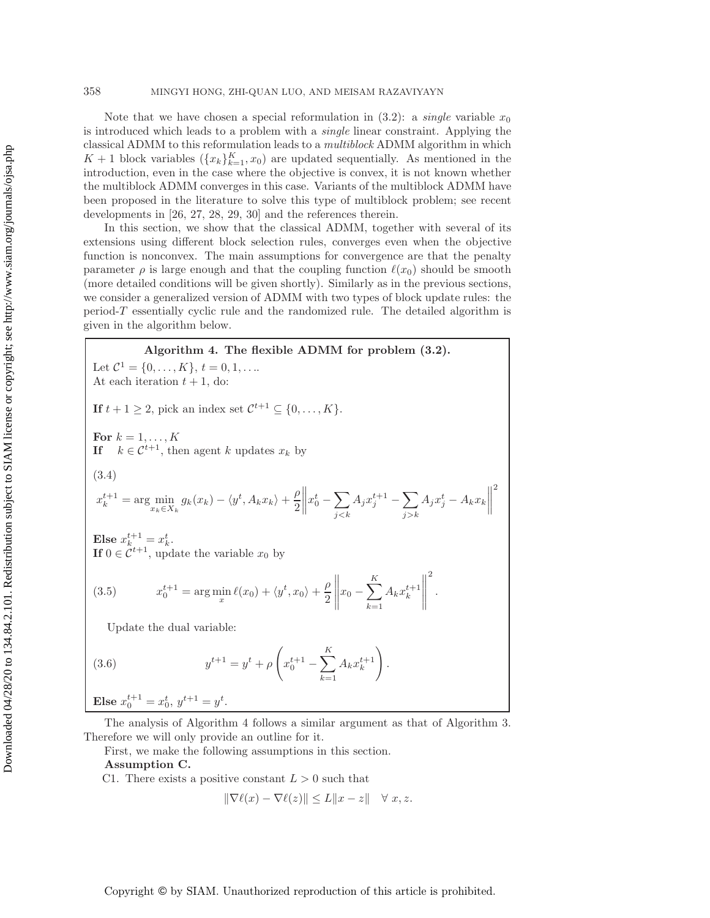#### 358 MINGYI HONG, ZHI-QUAN LUO, AND MEISAM RAZAVIYAYN

Note that we have chosen a special reformulation in  $(3.2)$ : a *single* variable  $x_0$ is introduced which leads to a problem with a *single* linear constraint. Applying the classical ADMM to this reformulation leads to a *multiblock* ADMM algorithm in which  $K+1$  block variables  $({x_k}_{k=1}^K, x_0)$  are updated sequentially. As mentioned in the introduction even in the case where the objective is convex it is not known whether introduction, even in the case where the objective is convex, it is not known whether the multiblock ADMM converges in this case. Variants of the multiblock ADMM have been proposed in the literature to solve this type of multiblock problem; see recent developments in [\[26,](#page-26-12) [27,](#page-26-13) [28,](#page-26-14) [29,](#page-26-15) [30\]](#page-26-16) and the references therein.

In this section, we show that the classical ADMM, together with several of its extensions using different block selection rules, converges even when the objective function is nonconvex. The main assumptions for convergence are that the penalty parameter  $\rho$  is large enough and that the coupling function  $\ell(x_0)$  should be smooth (more detailed conditions will be given shortly). Similarly as in the previous sections (more detailed conditions will be given shortly). Similarly as in the previous sections, we consider a generalized version of ADMM with two types of block update rules: the period-T essentially cyclic rule and the randomized rule. The detailed algorithm is given in the algorithm below.

## <span id="page-21-0"></span>**Algorithm 4. The flexible ADMM for problem [\(3.2\)](#page-20-0).** Let  $\mathcal{C}^1 = \{0, \ldots, K\}, t = 0, 1, \ldots$ At each iteration  $t + 1$ , do: **If**  $t + 1 \geq 2$ , pick an index set  $\mathcal{C}^{t+1} \subseteq \{0, \ldots, K\}.$ **For**  $k = 1, ..., K$ <br>**If**  $k \in \mathbb{C}^{t+1}$  the **If**  $k \in \mathcal{C}^{t+1}$ , then agent k updates  $x_k$  by  $x_k^{t+1} = \arg\min_{x_k \in X_k} g_k(x_k) - \langle y^t, A_k x_k \rangle + \frac{\rho}{2}$  $\bigg\|x_0^t-\sum_{j$  $\frac{1}{\sqrt{2}}$  $A_j x_j^{t+1} - \sum_{j \geq k}$  $\sum_{i=1}^{n}$  $A_j x_j^t - A_k x_k$ (3.4) **Else**  $x_k^{t+1} = x_k^t$ .<br> **If**  $0 \in C^{t+1}$  und **If**  $0 \in C^{t+1}$ , update the variable  $x_0$  by  $x_0^{t+1} = \arg\min_x \ell(x_0) + \langle y^t, x_0 \rangle + \frac{\rho}{2}$  $\left\| x_0 - \sum_{k=1}^K \right\|$  $k=1$  $A_k x_k^{t+1}$  2 (3.5)  $x_0^{t+1} = \arg\min_x \ell(x_0) + \langle y^t, x_0 \rangle + \frac{\nu}{2} || x_0 - \sum_{k=1} A_k x_k^{t+1} ||$ .

2

<span id="page-21-1"></span>Update the dual variable:

(3.6) 
$$
y^{t+1} = y^t + \rho \left( x_0^{t+1} - \sum_{k=1}^K A_k x_k^{t+1} \right).
$$

**Else**  $x_0^{t+1} = x_0^t, y^{t+1} = y^t$ .

The analysis of Algorithm 4 follows a similar argument as that of Algorithm 3. Therefore we will only provide an outline for it.

First, we make the following assumptions in this section.

## **Assumption C.**

C1. There exists a positive constant  $L > 0$  such that

$$
\|\nabla \ell(x) - \nabla \ell(z)\| \le L\|x - z\| \quad \forall \ x, z.
$$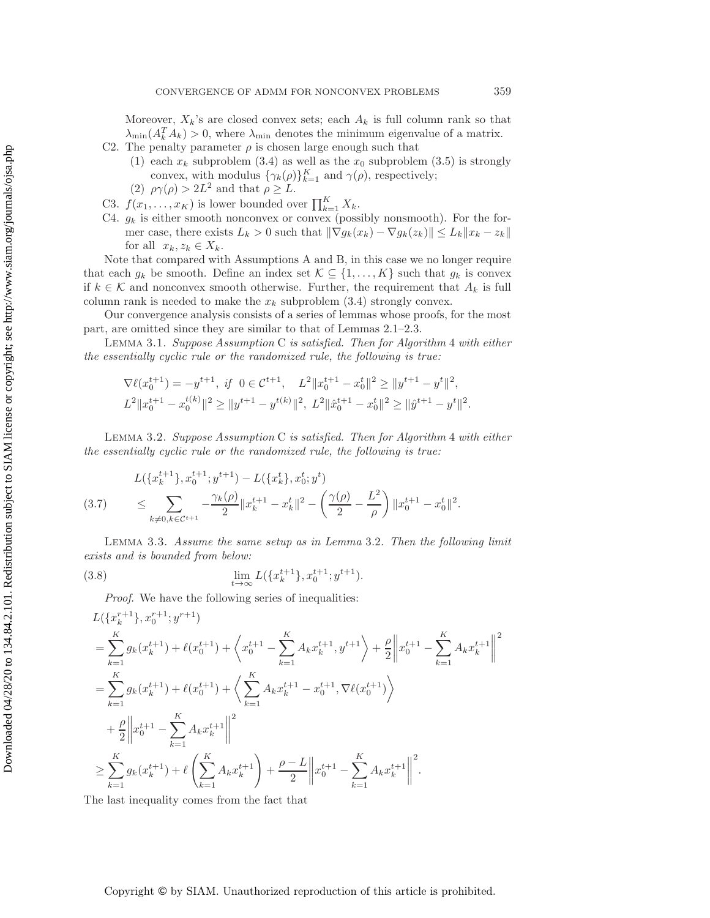Moreover,  $X_k$ 's are closed convex sets; each  $A_k$  is full column rank so that  $\lambda_{\min}(A_k^T A_k) > 0$ , where  $\lambda_{\min}$  denotes the minimum eigenvalue of a matrix.<br>The penalty parameter a is chosen large enough such that

- C2. The penalty parameter  $\rho$  is chosen large enough such that
	- (1) each  $x_k$  subproblem [\(3.4\)](#page-21-0) as well as the  $x_0$  subproblem [\(3.5\)](#page-21-1) is strongly convex, with modulus  $\{\gamma_k(\rho)\}_{k=1}^K$  and  $\gamma(\rho)$ , respectively;<br> $\alpha(\rho) > 2L^2$  and that  $\rho > L$
	- (2)  $\rho\gamma(\rho) > 2L^2$  and that  $\rho \geq L$ .
- C3.  $f(x_1, \ldots, x_K)$  is lower bounded over  $\prod_{k=1}^K X_k$ .<br>C4.  $a_k$  is either smooth ponconvex or convex (poss
- C4.  $g_k$  is either smooth nonconvex or convex (possibly nonsmooth). For the former case, there exists  $L_k > 0$  such that  $\|\nabla g_k(x_k) - \nabla g_k(z_k)\| \leq L_k \|x_k - z_k\|$ for all  $x_k, z_k \in X_k$ .

Note that compared with Assumptions A and B, in this case we no longer require that each  $g_k$  be smooth. Define an index set  $\mathcal{K} \subseteq \{1,\ldots,K\}$  such that  $g_k$  is convex if  $k \in \mathcal{K}$  and nonconvex smooth otherwise. Further, the requirement that  $A_k$  is full column rank is needed to make the  $x_k$  subproblem [\(3.4\)](#page-21-0) strongly convex.

Our convergence analysis consists of a series of lemmas whose proofs, for the most part, are omitted since they are similar to that of Lemmas [2.1–](#page-5-1)[2.3.](#page-7-2)

Lemma 3.1. *Suppose Assumption* C *is satisfied. Then for Algorithm* 4 *with either the essentially cyclic rule or the randomized rule, the following is true:*

$$
\nabla \ell(x_0^{t+1}) = -y^{t+1}, \text{ if } 0 \in \mathcal{C}^{t+1}, \quad L^2 \|x_0^{t+1} - x_0^t\|^2 \ge \|y^{t+1} - y^t\|^2,
$$
  

$$
L^2 \|x_0^{t+1} - x_0^{t(k)}\|^2 \ge \|y^{t+1} - y^{t(k)}\|^2, \quad L^2 \|\hat{x}_0^{t+1} - x_0^t\|^2 \ge \|\hat{y}^{t+1} - y^t\|^2.
$$

<span id="page-22-0"></span>Lemma 3.2. *Suppose Assumption* C *is satisfied. Then for Algorithm* 4 *with either the essentially cyclic rule or the randomized rule, the following is true:*

$$
L(\lbrace x_k^{t+1} \rbrace, x_0^{t+1}; y^{t+1}) - L(\lbrace x_k^t \rbrace, x_0^t; y^t)
$$
  
(3.7) 
$$
\leq \sum_{k \neq 0, k \in \mathcal{C}^{t+1}} -\frac{\gamma_k(\rho)}{2} \|x_k^{t+1} - x_k^t\|^2 - \left(\frac{\gamma(\rho)}{2} - \frac{L^2}{\rho}\right) \|x_0^{t+1} - x_0^t\|^2.
$$

Lemma 3.3. *Assume the same setup as in Lemma* [3.2](#page-22-0)*. Then the following limit exists and is bounded from below:*

(3.8) 
$$
\lim_{t \to \infty} L(\{x_k^{t+1}\}, x_0^{t+1}; y^{t+1}).
$$

*Proof.* We have the following series of inequalities:

$$
L({x_k^{r+1}}), x_0^{r+1}; y^{r+1})
$$
  
=  $\sum_{k=1}^K g_k(x_k^{t+1}) + \ell(x_0^{t+1}) + \left\langle x_0^{t+1} - \sum_{k=1}^K A_k x_k^{t+1}, y^{t+1} \right\rangle + \frac{\rho}{2} ||x_0^{t+1} - \sum_{k=1}^K A_k x_k^{t+1}||^2$   
=  $\sum_{k=1}^K g_k(x_k^{t+1}) + \ell(x_0^{t+1}) + \left\langle \sum_{k=1}^K A_k x_k^{t+1} - x_0^{t+1}, \nabla \ell(x_0^{t+1}) \right\rangle$   
+  $\frac{\rho}{2} ||x_0^{t+1} - \sum_{k=1}^K A_k x_k^{t+1}||^2$   
 $\geq \sum_{k=1}^K g_k(x_k^{t+1}) + \ell \left( \sum_{k=1}^K A_k x_k^{t+1} \right) + \frac{\rho - L}{2} ||x_0^{t+1} - \sum_{k=1}^K A_k x_k^{t+1}||^2.$ 

The last inequality comes from the fact that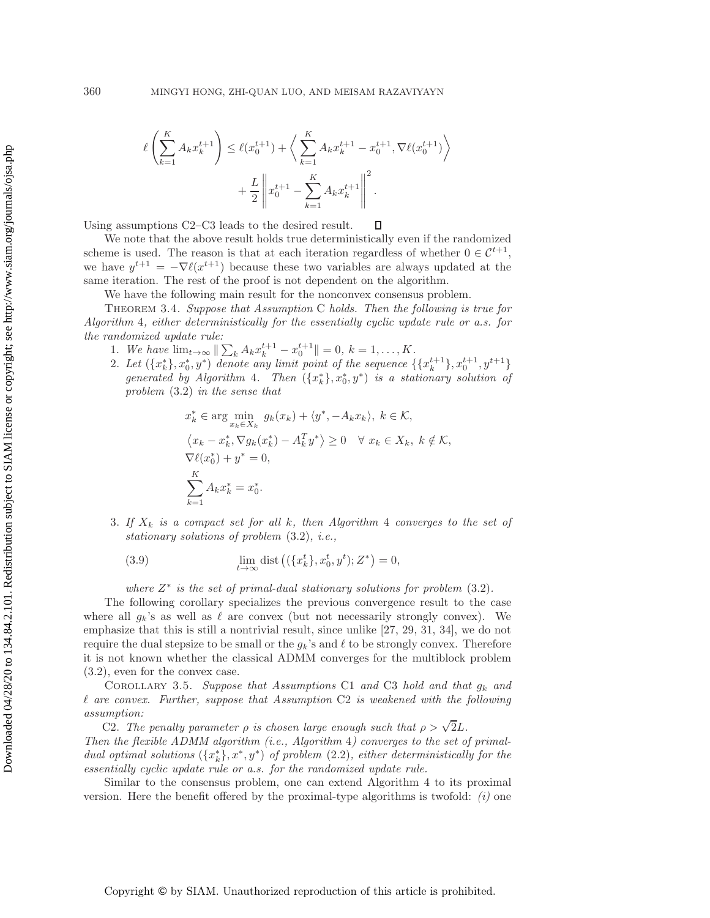$$
\ell\left(\sum_{k=1}^{K} A_k x_k^{t+1}\right) \le \ell(x_0^{t+1}) + \left\langle \sum_{k=1}^{K} A_k x_k^{t+1} - x_0^{t+1}, \nabla \ell(x_0^{t+1}) \right\rangle
$$

$$
+ \frac{L}{2} \left\| x_0^{t+1} - \sum_{k=1}^{K} A_k x_k^{t+1} \right\|^2.
$$

Using assumptions C2–C3 leads to the desired result. П

We note that the above result holds true deterministically even if the randomized scheme is used. The reason is that at each iteration regardless of whether  $0 \in \mathcal{C}^{t+1}$ , we have  $y^{t+1} = -\nabla \ell(x^{t+1})$  because these two variables are always updated at the same iteration. The rest of the proof is not dependent on the algorithm same iteration. The rest of the proof is not dependent on the algorithm.

We have the following main result for the nonconvex consensus problem.

Theorem 3.4. *Suppose that Assumption* C *holds. Then the following is true for Algorithm* 4*, either deterministically for the essentially cyclic update rule or a.s. for the randomized update rule:*

- 1. We have  $\lim_{t\to\infty} \|\sum_k A_k x_k^{t+1} x_0^{t+1}\| = 0, k = 1,\ldots,K.$ <br>2. Let  $(A_{r^*}^*\cdot x^*, y^*)$  denote any limit noint of the sequence is
- 2. Let  $({x<sub>k</sub><sup>*</sup>}, x<sub>0</sub><sup>*</sup>, y<sup>*</sup>)$  denote any limit point of the sequence  $({x<sub>k</sub><sup>t+1</sup>}, x<sub>0</sub><sup>t+1</sup>, y<sub>0</sub><sup>t+1</sup>)$ <br>generated by Algorithm A. Then  $({x<sub>k</sub><sup>*</sup>}, x<sup>*</sup>, y<sup>*</sup>)$  is a stationary solution of *generated by Algorithm* 4*.* Then  $({x_k^*}, x_0^*, y^*)$  *is a stationary solution of gradien* (3.2) *in the sense that problem* [\(3.2\)](#page-20-0) *in the sense that*

$$
x_k^* \in \arg\min_{x_k \in X_k} g_k(x_k) + \langle y^*, -A_k x_k \rangle, \ k \in \mathcal{K},
$$
  

$$
\langle x_k - x_k^*, \nabla g_k(x_k^*) - A_k^T y^* \rangle \ge 0 \quad \forall \ x_k \in X_k, \ k \notin \mathcal{K},
$$
  

$$
\nabla \ell(x_0^*) + y^* = 0,
$$
  

$$
\sum_{k=1}^K A_k x_k^* = x_0^*.
$$

3. If  $X_k$  is a compact set for all  $k$ , then Algorithm 4 converges to the set of *stationary solutions of problem* [\(3.2\)](#page-20-0)*, i.e.,*

(3.9) 
$$
\lim_{t \to \infty} \text{dist}\left( (\{x_k^t\}, x_0^t, y^t); Z^* \right) = 0,
$$

*where*  $Z^*$  *is the set of primal-dual stationary solutions for problem*  $(3.2)$ *.* 

The following corollary specializes the previous convergence result to the case where all  $g_k$ 's as well as  $\ell$  are convex (but not necessarily strongly convex). We<br>emphasize that this is still a pontrivial result since unlike [27, 29, 31, 34], we do not emphasize that this is still a nontrivial result, since unlike [\[27,](#page-26-13) [29,](#page-26-15) [31,](#page-26-17) [34\]](#page-26-20), we do not require the dual stepsize to be small or the  $g_k$ 's and  $\ell$  to be strongly convex. Therefore<br>it is not known whether the classical ADMM converges for the multiplock problem it is not known whether the classical ADMM converges for the multiblock problem [\(3.2\)](#page-20-0), even for the convex case.

Corollary 3.5. *Suppose that Assumptions* C1 *and* C3 *hold and that* <sup>g</sup>k *and* -*assumption: are convex. Further, suppose that Assumption* C2 *is weakened with the following*

C2. *The penalty parameter*  $\rho$  *is chosen large enough such that*  $\rho > \sqrt{2}L$ . *Then the flexible ADMM algorithm (i.e., Algorithm* 4*) converges to the set of primaldual optimal solutions*  $({x<sub>k</sub><sup>*</sup>}, x<sup>*</sup>, y<sup>*</sup>)$  *of problem* [\(2.2\)](#page-2-1)*, either deterministically for the*<br>essentially cyclic undate rule or a s- for the randomized undate rule *essentially cyclic update rule or a.s. for the randomized update rule.*

Similar to the consensus problem, one can extend Algorithm 4 to its proximal version. Here the benefit offered by the proximal-type algorithms is twofold: *(i)* one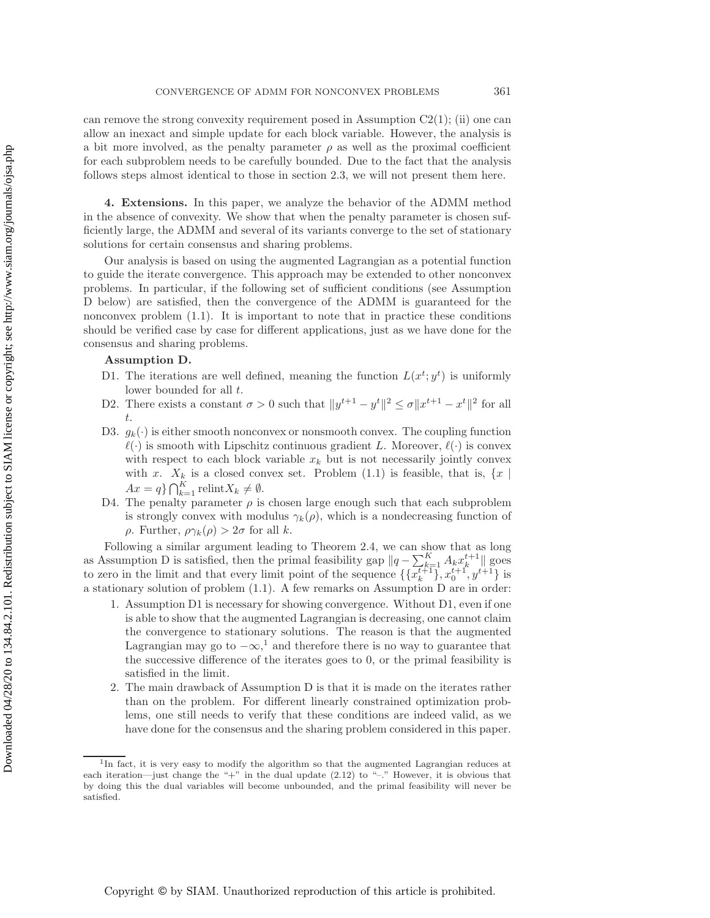can remove the strong convexity requirement posed in Assumption  $C_2(1)$ ; (ii) one can allow an inexact and simple update for each block variable. However, the analysis is a bit more involved, as the penalty parameter  $\rho$  as well as the proximal coefficient for each subproblem needs to be carefully bounded. Due to the fact that the analysis follows steps almost identical to those in section [2.3,](#page-14-2) we will not present them here.

**4. Extensions.** In this paper, we analyze the behavior of the ADMM method in the absence of convexity. We show that when the penalty parameter is chosen sufficiently large, the ADMM and several of its variants converge to the set of stationary solutions for certain consensus and sharing problems.

Our analysis is based on using the augmented Lagrangian as a potential function to guide the iterate convergence. This approach may be extended to other nonconvex problems. In particular, if the following set of sufficient conditions (see Assumption D below) are satisfied, then the convergence of the ADMM is guaranteed for the nonconvex problem [\(1.1\)](#page-0-0). It is important to note that in practice these conditions should be verified case by case for different applications, just as we have done for the consensus and sharing problems.

## **Assumption D.**

- D1. The iterations are well defined, meaning the function  $L(x^t; y^t)$  is uniformly lower bounded for all t lower bounded for all  $t$ .<br>There exists a constant
- D2. There exists a constant  $\sigma > 0$  such that  $||y^{t+1} y^t||^2 \le \sigma ||x^{t+1} x^t||^2$  for all  $\sigma$ t.
- D3.  $g_k(\cdot)$  is either smooth nonconvex or nonsmooth convex. The coupling function with respect to each block variable  $x_k$  but is not necessarily jointly convex<br>with  $x - X_k$  is a closed convex set. Problem (1.1) is feasible that is  $\{x | k\}$  $\langle \cdot \rangle$  is smooth with Lipschitz continuous gradient L. Moreover,  $\ell(\cdot)$  is convex<br>with respect to each block variable  $x_i$ , but is not necessarily jointly convex with x.  $X_k$  is a closed convex set. Problem [\(1.1\)](#page-0-0) is feasible, that is,  $\{x \mid$  $Ax = q$ }  $\bigcap_{k=1}^{n}$  relint $X_k \neq \emptyset$ .<br>The penalty parameter  $q$  is
- D4. The penalty parameter  $\rho$  is chosen large enough such that each subproblem is strongly convex with modulus  $\gamma_k(\rho)$ , which is a nondecreasing function of <sup>ρ</sup>. Further, ργk(ρ) <sup>&</sup>gt; <sup>2</sup><sup>σ</sup> for all <sup>k</sup>.

Following a similar argument leading to Theorem [2.4,](#page-8-1) we can show that as long as Assumption D is satisfied, then the primal feasibility gap  $||q - \sum_{k=1}^{K} A_k x_k^{t+1}||$  goes<br>to zero in the limit and that every limit point of the sequence  $\iint_R x_{t+1}^{t+1} x_{t+1}^{t+1} dx$ to zero in the limit and that every limit point of the sequence  $\{x_k^{t+1}\}, x_0^{t+1}, y_1^{t+1}\}$  is a stationary solution of problem [\(1.1\)](#page-0-0). A few remarks on Assumption D are in order:

- 1. Assumption D1 is necessary for showing convergence. Without D1, even if one is able to show that the augmented Lagrangian is decreasing, one cannot claim the convergence to stationary solutions. The reason is that the augmented Lagrangian may go to  $-\infty$ ,<sup>[1](#page-24-0)</sup> and therefore there is no way to guarantee that the successive difference of the iterates goes to 0, or the primal feasibility is satisfied in the limit.
- 2. The main drawback of Assumption D is that it is made on the iterates rather than on the problem. For different linearly constrained optimization problems, one still needs to verify that these conditions are indeed valid, as we have done for the consensus and the sharing problem considered in this paper.

<span id="page-24-0"></span><sup>&</sup>lt;sup>1</sup>In fact, it is very easy to modify the algorithm so that the augmented Lagrangian reduces at each iteration—just change the "+" in the dual update  $(2.12)$  to "-"." However, it is obvious that by doing this the dual variables will become unbounded, and the primal feasibility will never be satisfied.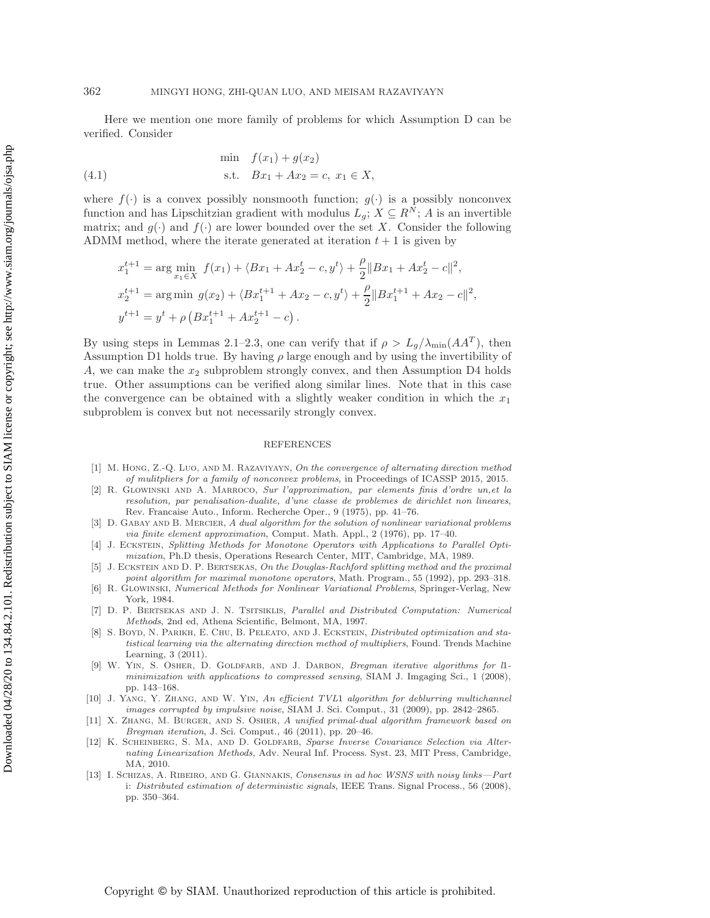Here we mention one more family of problems for which Assumption D can be verified. Consider

(4.1) 
$$
\begin{aligned}\n\min \quad & f(x_1) + g(x_2) \\
\text{s.t.} \quad & Bx_1 + Ax_2 = c, \ x_1 \in X,\n\end{aligned}
$$

where  $f(\cdot)$  is a convex possibly nonsmooth function;  $g(\cdot)$  is a possibly nonconvex function and has Lipschitzian gradient with modulus  $L_q$ ;  $X \subseteq R^N$ ; A is an invertible matrix; and  $g(\cdot)$  and  $f(\cdot)$  are lower bounded over the set X. Consider the following ADMM method, where the iterate generated at iteration  $t + 1$  is given by

$$
x_1^{t+1} = \arg\min_{x_1 \in X} f(x_1) + \langle Bx_1 + Ax_2^t - c, y^t \rangle + \frac{\rho}{2} \|Bx_1 + Ax_2^t - c\|^2,
$$
  
\n
$$
x_2^{t+1} = \arg\min g(x_2) + \langle Bx_1^{t+1} + Ax_2 - c, y^t \rangle + \frac{\rho}{2} \|Bx_1^{t+1} + Ax_2 - c\|^2,
$$
  
\n
$$
y^{t+1} = y^t + \rho \left( Bx_1^{t+1} + Ax_2^{t+1} - c \right).
$$

By using steps in Lemmas 2.1–2.3, one can verify that if  $\rho > L_g/\lambda_{\rm min}(AA^T)$ , then Assumption D1 holds true. By having  $\rho$  large enough and by using the invertibility of A, we can make the  $x_2$  subproblem strongly convex, and then Assumption D4 holds true. Other assumptions can be verified along similar lines. Note that in this case the convergence can be obtained with a slightly weaker condition in which the  $x_1$ subproblem is convex but not necessarily strongly convex.

#### REFERENCES

- [1] M. Hong, Z.-Q. Luo, and M. Razaviyayn, On the convergence of alternating direction method of mulitpliers for a family of nonconvex problems, in Proceedings of ICASSP 2015, 2015.
- <span id="page-25-0"></span>[2] R. Glowinski and A. Marroco, Sur l'approximation, par elements finis d'ordre un,et la resolution, par penalisation-dualite, d'une classe de problemes de dirichlet non lineares, Rev. Francaise Auto., Inform. Recherche Oper., 9 (1975), pp. 41–76.
- <span id="page-25-1"></span>[3] D. GABAY AND B. MERCIER, A dual algorithm for the solution of nonlinear variational problems via finite element approximation, Comput. Math. Appl., 2 (1976), pp. 17–40.
- <span id="page-25-2"></span>[4] J. ECKSTEIN, Splitting Methods for Monotone Operators with Applications to Parallel Optimization, Ph.D thesis, Operations Research Center, MIT, Cambridge, MA, 1989.
- <span id="page-25-3"></span>[5] J. ECKSTEIN AND D. P. BERTSEKAS, On the Douglas-Rachford splitting method and the proximal point algorithm for maximal monotone operators, Math. Program., 55 (1992), pp. 293–318.
- <span id="page-25-4"></span>[6] R. Glowinski, Numerical Methods for Nonlinear Variational Problems, Springer-Verlag, New York, 1984.
- <span id="page-25-5"></span>D. P. BERTSEKAS AND J. N. TSITSIKLIS, Parallel and Distributed Computation: Numerical Methods, 2nd ed, Athena Scientific, Belmont, MA, 1997.
- <span id="page-25-6"></span>[8] S. BOYD, N. PARIKH, E. CHU, B. PELEATO, AND J. ECKSTEIN, *Distributed optimization and sta*tistical learning via the alternating direction method of multipliers, Found. Trends Machine Learning, 3 (2011).
- <span id="page-25-7"></span>[9] W. YIN, S. OSHER, D. GOLDFARB, AND J. DARBON, Bregman iterative algorithms for l1minimization with applications to compressed sensing, SIAM J. Imgaging Sci., 1 (2008), pp. 143–168.
- <span id="page-25-8"></span>[10] J. Yang, Y. Zhang, and W. Yin, An efficient TVL1 algorithm for deblurring multichannel images corrupted by impulsive noise, SIAM J. Sci. Comput., 31 (2009), pp. 2842–2865.
- <span id="page-25-9"></span>[11] X. Zhang, M. Burger, and S. Osher, A unified primal-dual algorithm framework based on Bregman iteration, J. Sci. Comput., 46 (2011), pp. 20–46.
- <span id="page-25-10"></span>[12] K. SCHEINBERG, S. MA, AND D. GOLDFARB, Sparse Inverse Covariance Selection via Alternating Linearization Methods, Adv. Neural Inf. Process. Syst. 23, MIT Press, Cambridge, MA, 2010.
- <span id="page-25-11"></span>[13] I. Schizas, A. Ribeiro, and G. Giannakis, Consensus in ad hoc WSNS with noisy links—Part i: Distributed estimation of deterministic signals, IEEE Trans. Signal Process., 56 (2008), pp. 350–364.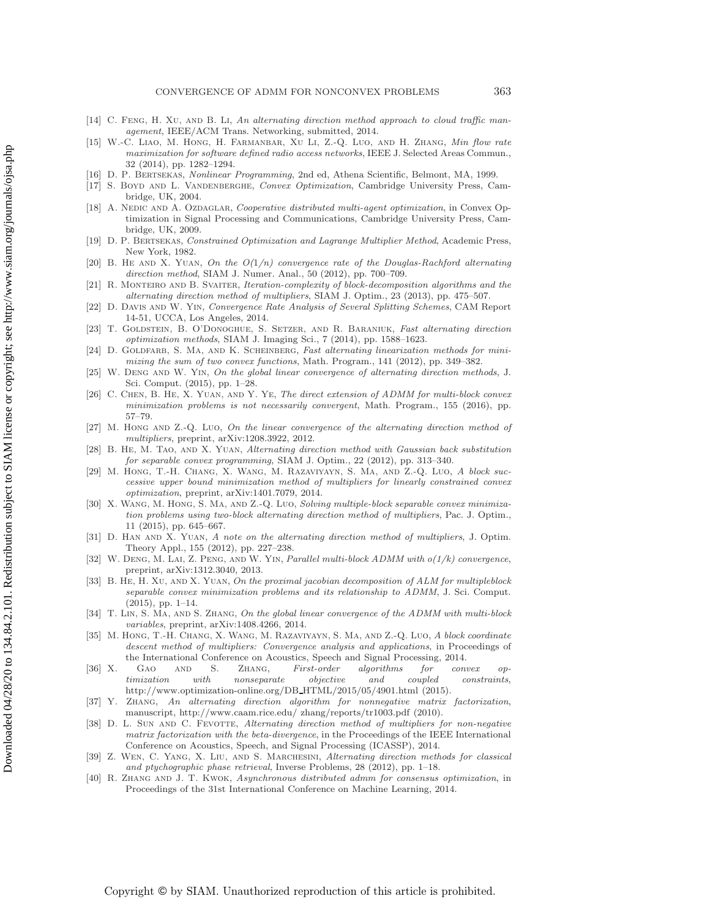- <span id="page-26-0"></span>[14] C. FENG, H. XU, AND B. LI, An alternating direction method approach to cloud traffic management, IEEE/ACM Trans. Networking, submitted, 2014.
- <span id="page-26-1"></span>[15] W.-C. Liao, M. Hong, H. Farmanbar, Xu Li, Z.-Q. Luo, and H. Zhang, Min flow rate maximization for software defined radio access networks, IEEE J. Selected Areas Commun., 32 (2014), pp. 1282–1294.
- <span id="page-26-3"></span><span id="page-26-2"></span>[16] D. P. Bertsekas, Nonlinear Programming, 2nd ed, Athena Scientific, Belmont, MA, 1999.
- [17] S. Boyd and L. Vandenberghe, Convex Optimization, Cambridge University Press, Cambridge, UK, 2004.
- <span id="page-26-4"></span>[18] A. NEDIC AND A. OZDAGLAR, Cooperative distributed multi-agent optimization, in Convex Optimization in Signal Processing and Communications, Cambridge University Press, Cambridge, UK, 2009.
- <span id="page-26-5"></span>[19] D. P. Bertsekas, Constrained Optimization and Lagrange Multiplier Method, Academic Press, New York, 1982.
- <span id="page-26-6"></span>[20] B. HE AND X. YUAN, On the  $O(1/n)$  convergence rate of the Douglas-Rachford alternating direction method, SIAM J. Numer. Anal., 50 (2012), pp. 700–709.
- <span id="page-26-7"></span>[21] R. Monteiro and B. Svaiter, Iteration-complexity of block-decomposition algorithms and the alternating direction method of multipliers, SIAM J. Optim., 23 (2013), pp. 475–507.
- <span id="page-26-8"></span>[22] D. Davis and W. Yin, Convergence Rate Analysis of Several Splitting Schemes, CAM Report 14-51, UCCA, Los Angeles, 2014.
- <span id="page-26-9"></span>[23] T. GOLDSTEIN, B. O'DONOGHUE, S. SETZER, AND R. BARANIUK, Fast alternating direction optimization methods, SIAM J. Imaging Sci., 7 (2014), pp. 1588–1623.
- <span id="page-26-10"></span>[24] D. GOLDFARB, S. MA, AND K. SCHEINBERG, Fast alternating linearization methods for minimizing the sum of two convex functions, Math. Program., 141 (2012), pp. 349–382.
- <span id="page-26-11"></span>[25] W. DENG AND W. YIN, On the global linear convergence of alternating direction methods, J. Sci. Comput. (2015), pp. 1–28.
- <span id="page-26-12"></span>[26] C. CHEN, B. HE, X. YUAN, AND Y. YE, The direct extension of ADMM for multi-block convex minimization problems is not necessarily convergent, Math. Program., 155 (2016), pp. 57–79.
- <span id="page-26-13"></span> $[27]$  M. Hong AND Z.-Q. Luo, On the linear convergence of the alternating direction method of multipliers, preprint, arXiv:1208.3922, 2012.
- <span id="page-26-14"></span>[28] B. He, M. Tao, and X. Yuan, Alternating direction method with Gaussian back substitution for separable convex programming, SIAM J. Optim., 22 (2012), pp. 313–340.
- <span id="page-26-15"></span>[29] M. Hong, T.-H. Chang, X. Wang, M. Razaviyayn, S. Ma, and Z.-Q. Luo, A block successive upper bound minimization method of multipliers for linearly constrained convex optimization, preprint, arXiv:1401.7079, 2014.
- <span id="page-26-16"></span>[30] X. WANG, M. HONG, S. MA, AND Z.-Q. LUO, Solving multiple-block separable convex minimization problems using two-block alternating direction method of multipliers, Pac. J. Optim., 11 (2015), pp. 645–667.
- <span id="page-26-17"></span>[31] D. Han and X. Yuan, A note on the alternating direction method of multipliers, J. Optim. Theory Appl., 155 (2012), pp. 227–238.
- <span id="page-26-18"></span>[32] W. Deng, M. Lai, Z. Peng, and W. Yin, Parallel multi-block ADMM with o(1/k) convergence, preprint, arXiv:1312.3040, 2013.
- <span id="page-26-19"></span>[33] B. HE, H. XU, AND X. YUAN, On the proximal jacobian decomposition of ALM for multipleblock separable convex minimization problems and its relationship to ADMM, J. Sci. Comput.  $(2015)$ , pp. 1–14.
- <span id="page-26-20"></span>[34] T. LIN, S. MA, AND S. ZHANG, On the global linear convergence of the ADMM with multi-block variables, preprint, arXiv:1408.4266, 2014.
- <span id="page-26-21"></span>M. HONG, T.-H. CHANG, X. WANG, M. RAZAVIYAYN, S. MA, AND Z.-Q. LUO, A block coordinate descent method of multipliers: Convergence analysis and applications, in Proceedings of the International Conference on Acoustics, Speech and Signal Processing, 2014.
- <span id="page-26-22"></span>[36] X. GAO AND S. ZHANG, First-order algorithms for convex optimization with nonseparate objective and coupled constraints, [http://www.optimization-online.org/DB](http://www.optimization-online.org/DB_HTML/2015/05/4901.html) HTML/2015/05/4901.html (2015).
- <span id="page-26-23"></span>[37] Y. Zhang, An alternating direction algorithm for nonnegative matrix factorization, manuscript, [http://www.caam.rice.edu/ zhang/reports/tr1003.pdf](http://www.caam.rice.edu/~zhang/reports/tr1003.pdf) (2010).
- <span id="page-26-24"></span>[38] D. L. SUN AND C. FEVOTTE, Alternating direction method of multipliers for non-negative matrix factorization with the beta-divergence, in the Proceedings of the IEEE International Conference on Acoustics, Speech, and Signal Processing (ICASSP), 2014.
- <span id="page-26-25"></span>[39] Z. Wen, C. Yang, X. Liu, and S. Marchesini, Alternating direction methods for classical and ptychographic phase retrieval, Inverse Problems, 28 (2012), pp. 1–18.
- <span id="page-26-26"></span>[40] R. Zhang and J. T. Kwok, Asynchronous distributed admm for consensus optimization, in Proceedings of the 31st International Conference on Machine Learning, 2014.